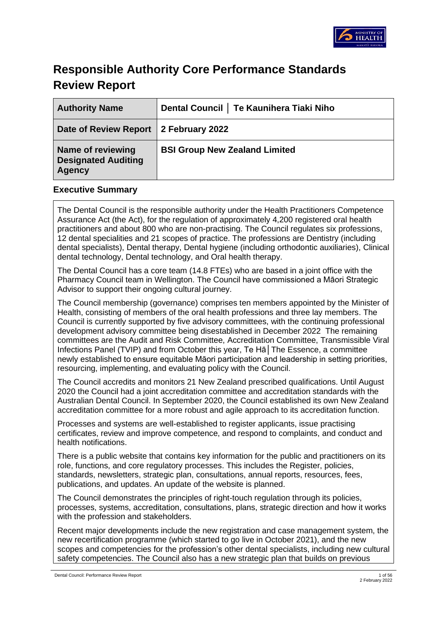

# **Responsible Authority Core Performance Standards Review Report**

| <b>Authority Name</b>                                            | Dental Council   Te Kaunihera Tiaki Niho |
|------------------------------------------------------------------|------------------------------------------|
| Date of Review Report   2 February 2022                          |                                          |
| Name of reviewing<br><b>Designated Auditing</b><br><b>Agency</b> | <b>BSI Group New Zealand Limited</b>     |

#### **Executive Summary**

The Dental Council is the responsible authority under the Health Practitioners Competence Assurance Act (the Act), for the regulation of approximately 4,200 registered oral health practitioners and about 800 who are non-practising. The Council regulates six professions, 12 dental specialities and 21 scopes of practice. The professions are Dentistry (including dental specialists), Dental therapy, Dental hygiene (including orthodontic auxiliaries), Clinical dental technology, Dental technology, and Oral health therapy.

The Dental Council has a core team (14.8 FTEs) who are based in a joint office with the Pharmacy Council team in Wellington. The Council have commissioned a Māori Strategic Advisor to support their ongoing cultural journey.

The Council membership (governance) comprises ten members appointed by the Minister of Health, consisting of members of the oral health professions and three lay members. The Council is currently supported by five advisory committees, with the continuing professional development advisory committee being disestablished in December 2022 The remaining committees are the Audit and Risk Committee, Accreditation Committee, Transmissible Viral Infections Panel (TVIP) and from October this year, Te Hā│The Essence, a committee newly established to ensure equitable Māori participation and leadership in setting priorities, resourcing, implementing, and evaluating policy with the Council.

The Council accredits and monitors 21 New Zealand prescribed qualifications. Until August 2020 the Council had a joint accreditation committee and accreditation standards with the Australian Dental Council. In September 2020, the Council established its own New Zealand accreditation committee for a more robust and agile approach to its accreditation function.

Processes and systems are well-established to register applicants, issue practising certificates, review and improve competence, and respond to complaints, and conduct and health notifications.

There is a public website that contains key information for the public and practitioners on its role, functions, and core regulatory processes. This includes the Register, policies, standards, newsletters, strategic plan, consultations, annual reports, resources, fees, publications, and updates. An update of the website is planned.

The Council demonstrates the principles of right-touch regulation through its policies, processes, systems, accreditation, consultations, plans, strategic direction and how it works with the profession and stakeholders.

Recent major developments include the new registration and case management system, the new recertification programme (which started to go live in October 2021), and the new scopes and competencies for the profession's other dental specialists, including new cultural safety competencies. The Council also has a new strategic plan that builds on previous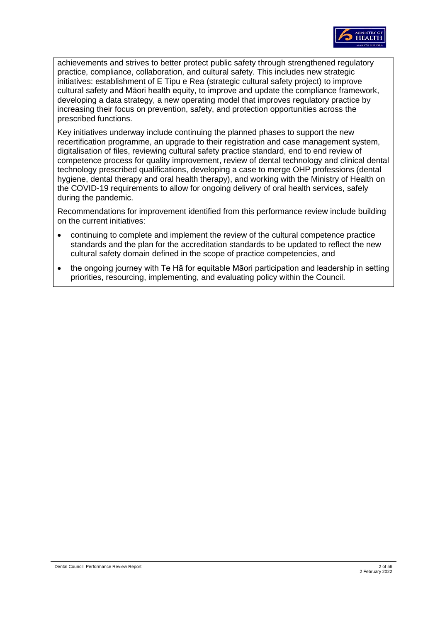

achievements and strives to better protect public safety through strengthened regulatory practice, compliance, collaboration, and cultural safety. This includes new strategic initiatives: establishment of E Tipu e Rea (strategic cultural safety project) to improve cultural safety and Māori health equity, to improve and update the compliance framework, developing a data strategy, a new operating model that improves regulatory practice by increasing their focus on prevention, safety, and protection opportunities across the prescribed functions.

Key initiatives underway include continuing the planned phases to support the new recertification programme, an upgrade to their registration and case management system, digitalisation of files, reviewing cultural safety practice standard, end to end review of competence process for quality improvement, review of dental technology and clinical dental technology prescribed qualifications, developing a case to merge OHP professions (dental hygiene, dental therapy and oral health therapy), and working with the Ministry of Health on the COVID-19 requirements to allow for ongoing delivery of oral health services, safely during the pandemic.

Recommendations for improvement identified from this performance review include building on the current initiatives:

- continuing to complete and implement the review of the cultural competence practice standards and the plan for the accreditation standards to be updated to reflect the new cultural safety domain defined in the scope of practice competencies, and
- the ongoing journey with Te Hā for equitable Māori participation and leadership in setting priorities, resourcing, implementing, and evaluating policy within the Council.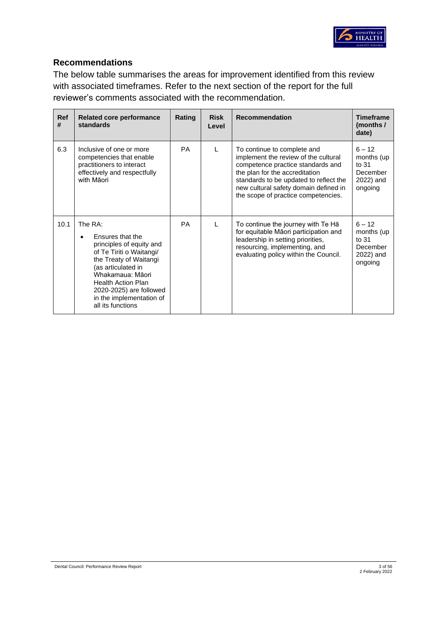

## **Recommendations**

The below table summarises the areas for improvement identified from this review with associated timeframes. Refer to the next section of the report for the full reviewer's comments associated with the recommendation.

| <b>Ref</b><br># | <b>Related core performance</b><br>standards                                                                                                                                                                                                                                  | Rating    | <b>Risk</b><br>Level | <b>Recommendation</b>                                                                                                                                                                                                                                                | <b>Timeframe</b><br>(months /<br>date)                              |
|-----------------|-------------------------------------------------------------------------------------------------------------------------------------------------------------------------------------------------------------------------------------------------------------------------------|-----------|----------------------|----------------------------------------------------------------------------------------------------------------------------------------------------------------------------------------------------------------------------------------------------------------------|---------------------------------------------------------------------|
| 6.3             | Inclusive of one or more<br>competencies that enable<br>practitioners to interact<br>effectively and respectfully<br>with Maori                                                                                                                                               | <b>PA</b> | L                    | To continue to complete and<br>implement the review of the cultural<br>competence practice standards and<br>the plan for the accreditation<br>standards to be updated to reflect the<br>new cultural safety domain defined in<br>the scope of practice competencies. | $6 - 12$<br>months (up<br>to 31<br>December<br>2022) and<br>ongoing |
| 10.1            | The RA:<br>Ensures that the<br>$\bullet$<br>principles of equity and<br>of Te Tiriti o Waitangi/<br>the Treaty of Waitangi<br>(as articulated in<br>Whakamaua: Māori<br><b>Health Action Plan</b><br>2020-2025) are followed<br>in the implementation of<br>all its functions | <b>PA</b> | L                    | To continue the journey with Te Ha<br>for equitable Māori participation and<br>leadership in setting priorities,<br>resourcing, implementing, and<br>evaluating policy within the Council.                                                                           | $6 - 12$<br>months (up<br>to 31<br>December<br>2022) and<br>ongoing |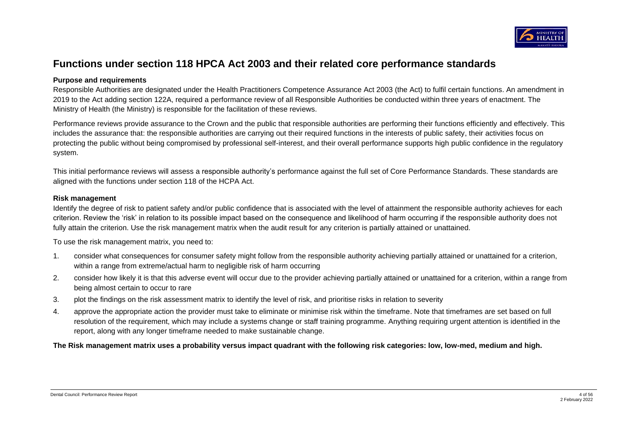

## **Functions under section 118 HPCA Act 2003 and their related core performance standards**

#### **Purpose and requirements**

Responsible Authorities are designated under the Health Practitioners Competence Assurance Act 2003 (the Act) to fulfil certain functions. An amendment in 2019 to the Act adding section 122A, required a performance review of all Responsible Authorities be conducted within three years of enactment. The Ministry of Health (the Ministry) is responsible for the facilitation of these reviews.

Performance reviews provide assurance to the Crown and the public that responsible authorities are performing their functions efficiently and effectively. This includes the assurance that: the responsible authorities are carrying out their required functions in the interests of public safety, their activities focus on protecting the public without being compromised by professional self-interest, and their overall performance supports high public confidence in the regulatory system.

This initial performance reviews will assess a responsible authority's performance against the full set of Core Performance Standards. These standards are aligned with the functions under section 118 of the HCPA Act.

#### **Risk management**

Identify the degree of risk to patient safety and/or public confidence that is associated with the level of attainment the responsible authority achieves for each criterion. Review the 'risk' in relation to its possible impact based on the consequence and likelihood of harm occurring if the responsible authority does not fully attain the criterion. Use the risk management matrix when the audit result for any criterion is partially attained or unattained.

To use the risk management matrix, you need to:

- 1. consider what consequences for consumer safety might follow from the responsible authority achieving partially attained or unattained for a criterion, within a range from extreme/actual harm to negligible risk of harm occurring
- 2. consider how likely it is that this adverse event will occur due to the provider achieving partially attained or unattained for a criterion, within a range from being almost certain to occur to rare
- 3. plot the findings on the risk assessment matrix to identify the level of risk, and prioritise risks in relation to severity
- 4. approve the appropriate action the provider must take to eliminate or minimise risk within the timeframe. Note that timeframes are set based on full resolution of the requirement, which may include a systems change or staff training programme. Anything requiring urgent attention is identified in the report, along with any longer timeframe needed to make sustainable change.

**The Risk management matrix uses a probability versus impact quadrant with the following risk categories: low, low-med, medium and high.**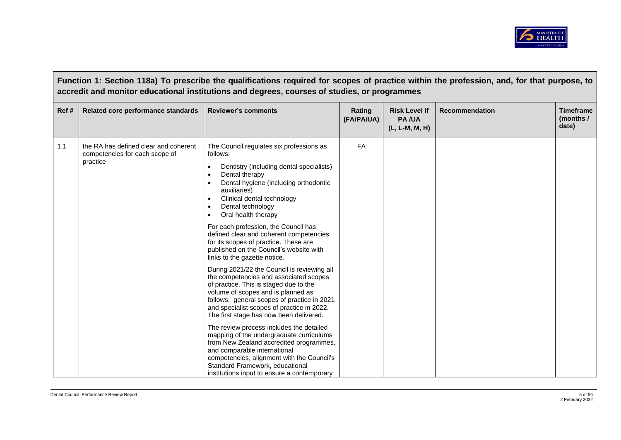

|      | Function 1: Section 118a) To prescribe the qualifications required for scopes of practice within the profession, and, for that purpose, to<br>accredit and monitor educational institutions and degrees, courses of studies, or programmes |                                                                                                                                                                                                                                                                                                                                                                                                                                                                                                                                                                                                                                                                                                                                                                                                                                                                                                                                                                                                                                                                                                                                      |                      |                                                        |                       |                                        |  |
|------|--------------------------------------------------------------------------------------------------------------------------------------------------------------------------------------------------------------------------------------------|--------------------------------------------------------------------------------------------------------------------------------------------------------------------------------------------------------------------------------------------------------------------------------------------------------------------------------------------------------------------------------------------------------------------------------------------------------------------------------------------------------------------------------------------------------------------------------------------------------------------------------------------------------------------------------------------------------------------------------------------------------------------------------------------------------------------------------------------------------------------------------------------------------------------------------------------------------------------------------------------------------------------------------------------------------------------------------------------------------------------------------------|----------------------|--------------------------------------------------------|-----------------------|----------------------------------------|--|
| Ref# | Related core performance standards                                                                                                                                                                                                         | <b>Reviewer's comments</b>                                                                                                                                                                                                                                                                                                                                                                                                                                                                                                                                                                                                                                                                                                                                                                                                                                                                                                                                                                                                                                                                                                           | Rating<br>(FA/PA/UA) | <b>Risk Level if</b><br><b>PA/UA</b><br>(L, L-M, M, H) | <b>Recommendation</b> | <b>Timeframe</b><br>(months /<br>date) |  |
| 1.1  | the RA has defined clear and coherent<br>competencies for each scope of<br>practice                                                                                                                                                        | The Council regulates six professions as<br>follows:<br>Dentistry (including dental specialists)<br>$\bullet$<br>Dental therapy<br>$\bullet$<br>Dental hygiene (including orthodontic<br>auxiliaries)<br>Clinical dental technology<br>$\bullet$<br>Dental technology<br>Oral health therapy<br>$\bullet$<br>For each profession, the Council has<br>defined clear and coherent competencies<br>for its scopes of practice. These are<br>published on the Council's website with<br>links to the gazette notice.<br>During 2021/22 the Council is reviewing all<br>the competencies and associated scopes<br>of practice. This is staged due to the<br>volume of scopes and is planned as<br>follows: general scopes of practice in 2021<br>and specialist scopes of practice in 2022.<br>The first stage has now been delivered.<br>The review process includes the detailed<br>mapping of the undergraduate curriculums<br>from New Zealand accredited programmes,<br>and comparable international<br>competencies, alignment with the Council's<br>Standard Framework, educational<br>institutions input to ensure a contemporary | <b>FA</b>            |                                                        |                       |                                        |  |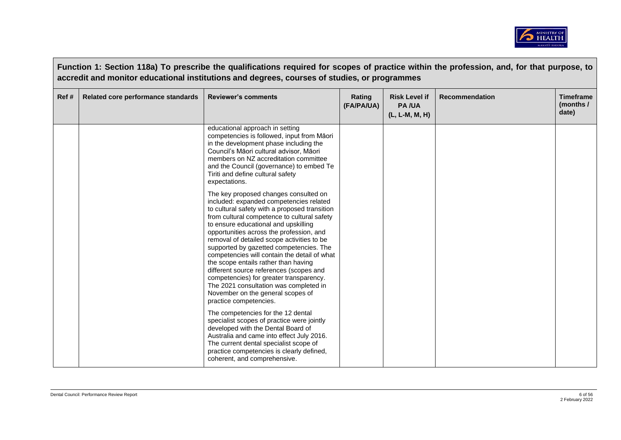

|      |                                    | Function 1: Section 118a) To prescribe the qualifications required for scopes of practice within the profession, and, for that purpose, to<br>accredit and monitor educational institutions and degrees, courses of studies, or programmes                                                                                                                                                                                                                                                                                                                                                                                                           |                      |                                                        |                       |                                        |
|------|------------------------------------|------------------------------------------------------------------------------------------------------------------------------------------------------------------------------------------------------------------------------------------------------------------------------------------------------------------------------------------------------------------------------------------------------------------------------------------------------------------------------------------------------------------------------------------------------------------------------------------------------------------------------------------------------|----------------------|--------------------------------------------------------|-----------------------|----------------------------------------|
| Ref# | Related core performance standards | <b>Reviewer's comments</b>                                                                                                                                                                                                                                                                                                                                                                                                                                                                                                                                                                                                                           | Rating<br>(FA/PA/UA) | <b>Risk Level if</b><br><b>PA/UA</b><br>(L, L-M, M, H) | <b>Recommendation</b> | <b>Timeframe</b><br>(months /<br>date) |
|      |                                    | educational approach in setting<br>competencies is followed, input from Māori<br>in the development phase including the<br>Council's Māori cultural advisor, Māori<br>members on NZ accreditation committee<br>and the Council (governance) to embed Te<br>Tiriti and define cultural safety<br>expectations.                                                                                                                                                                                                                                                                                                                                        |                      |                                                        |                       |                                        |
|      |                                    | The key proposed changes consulted on<br>included: expanded competencies related<br>to cultural safety with a proposed transition<br>from cultural competence to cultural safety<br>to ensure educational and upskilling<br>opportunities across the profession, and<br>removal of detailed scope activities to be<br>supported by gazetted competencies. The<br>competencies will contain the detail of what<br>the scope entails rather than having<br>different source references (scopes and<br>competencies) for greater transparency.<br>The 2021 consultation was completed in<br>November on the general scopes of<br>practice competencies. |                      |                                                        |                       |                                        |
|      |                                    | The competencies for the 12 dental<br>specialist scopes of practice were jointly<br>developed with the Dental Board of<br>Australia and came into effect July 2016.<br>The current dental specialist scope of<br>practice competencies is clearly defined,<br>coherent, and comprehensive.                                                                                                                                                                                                                                                                                                                                                           |                      |                                                        |                       |                                        |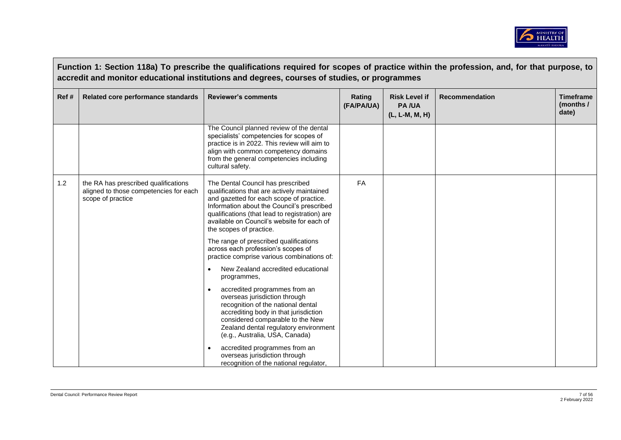

|       | Function 1: Section 118a) To prescribe the qualifications required for scopes of practice within the profession, and, for that purpose, to<br>accredit and monitor educational institutions and degrees, courses of studies, or programmes |                                                                                                                                                                                                                                                                                                       |                      |                                                        |                       |                                        |
|-------|--------------------------------------------------------------------------------------------------------------------------------------------------------------------------------------------------------------------------------------------|-------------------------------------------------------------------------------------------------------------------------------------------------------------------------------------------------------------------------------------------------------------------------------------------------------|----------------------|--------------------------------------------------------|-----------------------|----------------------------------------|
| Ref # | Related core performance standards                                                                                                                                                                                                         | <b>Reviewer's comments</b>                                                                                                                                                                                                                                                                            | Rating<br>(FA/PA/UA) | <b>Risk Level if</b><br><b>PA/UA</b><br>(L, L-M, M, H) | <b>Recommendation</b> | <b>Timeframe</b><br>(months /<br>date) |
|       |                                                                                                                                                                                                                                            | The Council planned review of the dental<br>specialists' competencies for scopes of<br>practice is in 2022. This review will aim to<br>align with common competency domains<br>from the general competencies including<br>cultural safety.                                                            |                      |                                                        |                       |                                        |
| 1.2   | the RA has prescribed qualifications<br>aligned to those competencies for each<br>scope of practice                                                                                                                                        | The Dental Council has prescribed<br>qualifications that are actively maintained<br>and gazetted for each scope of practice.<br>Information about the Council's prescribed<br>qualifications (that lead to registration) are<br>available on Council's website for each of<br>the scopes of practice. | FA                   |                                                        |                       |                                        |
|       |                                                                                                                                                                                                                                            | The range of prescribed qualifications<br>across each profession's scopes of<br>practice comprise various combinations of:                                                                                                                                                                            |                      |                                                        |                       |                                        |
|       |                                                                                                                                                                                                                                            | New Zealand accredited educational<br>$\bullet$<br>programmes,                                                                                                                                                                                                                                        |                      |                                                        |                       |                                        |
|       |                                                                                                                                                                                                                                            | accredited programmes from an<br>overseas jurisdiction through<br>recognition of the national dental<br>accrediting body in that jurisdiction<br>considered comparable to the New<br>Zealand dental regulatory environment<br>(e.g., Australia, USA, Canada)                                          |                      |                                                        |                       |                                        |
|       |                                                                                                                                                                                                                                            | accredited programmes from an<br>overseas jurisdiction through<br>recognition of the national regulator,                                                                                                                                                                                              |                      |                                                        |                       |                                        |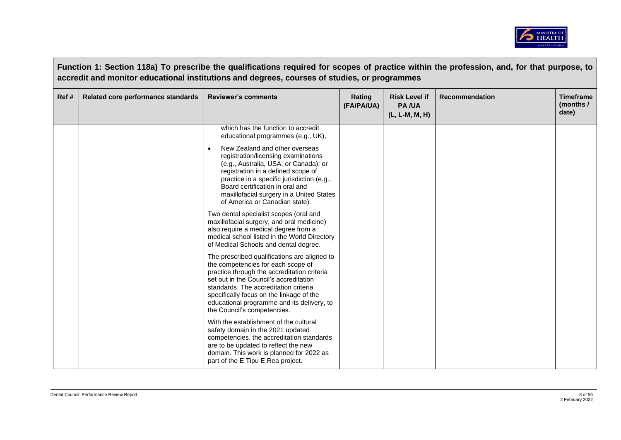

|      |                                    | Function 1: Section 118a) To prescribe the qualifications required for scopes of practice within the profession, and, for that purpose, to<br>accredit and monitor educational institutions and degrees, courses of studies, or programmes                                                                                                    |                      |                                                        |                       |                                        |
|------|------------------------------------|-----------------------------------------------------------------------------------------------------------------------------------------------------------------------------------------------------------------------------------------------------------------------------------------------------------------------------------------------|----------------------|--------------------------------------------------------|-----------------------|----------------------------------------|
| Ref# | Related core performance standards | <b>Reviewer's comments</b>                                                                                                                                                                                                                                                                                                                    | Rating<br>(FA/PA/UA) | <b>Risk Level if</b><br><b>PA/UA</b><br>(L, L-M, M, H) | <b>Recommendation</b> | <b>Timeframe</b><br>(months /<br>date) |
|      |                                    | which has the function to accredit<br>educational programmes (e.g., UK),                                                                                                                                                                                                                                                                      |                      |                                                        |                       |                                        |
|      |                                    | New Zealand and other overseas<br>registration/licensing examinations<br>(e.g., Australia, USA, or Canada); or<br>registration in a defined scope of<br>practice in a specific jurisdiction (e.g.,<br>Board certification in oral and<br>maxillofacial surgery in a United States<br>of America or Canadian state).                           |                      |                                                        |                       |                                        |
|      |                                    | Two dental specialist scopes (oral and<br>maxillofacial surgery, and oral medicine)<br>also require a medical degree from a<br>medical school listed in the World Directory<br>of Medical Schools and dental degree.                                                                                                                          |                      |                                                        |                       |                                        |
|      |                                    | The prescribed qualifications are aligned to<br>the competencies for each scope of<br>practice through the accreditation criteria<br>set out in the Council's accreditation<br>standards. The accreditation criteria<br>specifically focus on the linkage of the<br>educational programme and its delivery, to<br>the Council's competencies. |                      |                                                        |                       |                                        |
|      |                                    | With the establishment of the cultural<br>safety domain in the 2021 updated<br>competencies, the accreditation standards<br>are to be updated to reflect the new<br>domain. This work is planned for 2022 as<br>part of the E Tipu E Rea project.                                                                                             |                      |                                                        |                       |                                        |

 $\sqrt{ }$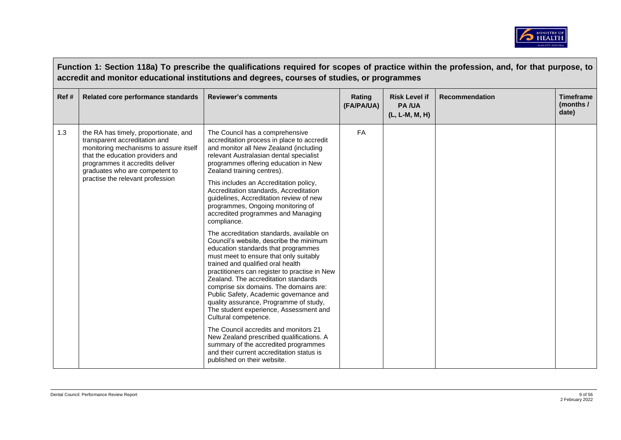

|       | Function 1: Section 118a) To prescribe the qualifications required for scopes of practice within the profession, and, for that purpose, to<br>accredit and monitor educational institutions and degrees, courses of studies, or programmes                    |                                                                                                                                                                                                                                                                                                                                                                                                                                                                                                                                                                                                                                                                                                              |                      |                                                        |                       |                                        |
|-------|---------------------------------------------------------------------------------------------------------------------------------------------------------------------------------------------------------------------------------------------------------------|--------------------------------------------------------------------------------------------------------------------------------------------------------------------------------------------------------------------------------------------------------------------------------------------------------------------------------------------------------------------------------------------------------------------------------------------------------------------------------------------------------------------------------------------------------------------------------------------------------------------------------------------------------------------------------------------------------------|----------------------|--------------------------------------------------------|-----------------------|----------------------------------------|
| Ref # | Related core performance standards                                                                                                                                                                                                                            | <b>Reviewer's comments</b>                                                                                                                                                                                                                                                                                                                                                                                                                                                                                                                                                                                                                                                                                   | Rating<br>(FA/PA/UA) | <b>Risk Level if</b><br><b>PA/UA</b><br>(L, L-M, M, H) | <b>Recommendation</b> | <b>Timeframe</b><br>(months /<br>date) |
| 1.3   | the RA has timely, proportionate, and<br>transparent accreditation and<br>monitoring mechanisms to assure itself<br>that the education providers and<br>programmes it accredits deliver<br>graduates who are competent to<br>practise the relevant profession | The Council has a comprehensive<br>accreditation process in place to accredit<br>and monitor all New Zealand (including<br>relevant Australasian dental specialist<br>programmes offering education in New<br>Zealand training centres).<br>This includes an Accreditation policy,<br>Accreditation standards, Accreditation<br>guidelines, Accreditation review of new<br>programmes, Ongoing monitoring of<br>accredited programmes and Managing<br>compliance.                                                                                                                                                                                                                                            | <b>FA</b>            |                                                        |                       |                                        |
|       |                                                                                                                                                                                                                                                               | The accreditation standards, available on<br>Council's website, describe the minimum<br>education standards that programmes<br>must meet to ensure that only suitably<br>trained and qualified oral health<br>practitioners can register to practise in New<br>Zealand. The accreditation standards<br>comprise six domains. The domains are:<br>Public Safety, Academic governance and<br>quality assurance, Programme of study,<br>The student experience, Assessment and<br>Cultural competence.<br>The Council accredits and monitors 21<br>New Zealand prescribed qualifications. A<br>summary of the accredited programmes<br>and their current accreditation status is<br>published on their website. |                      |                                                        |                       |                                        |

 $\sqrt{ }$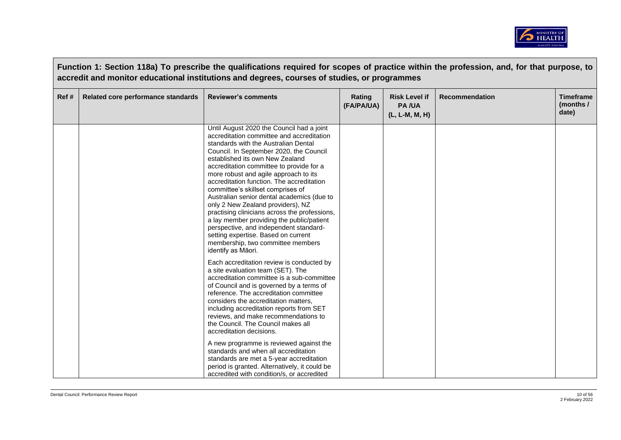

|       |                                    | Function 1: Section 118a) To prescribe the qualifications required for scopes of practice within the profession, and, for that purpose, to<br>accredit and monitor educational institutions and degrees, courses of studies, or programmes                                                                                                                                                                                                                                                                                                                                                                                                                                                                       |                      |                                                        |                       |                                        |
|-------|------------------------------------|------------------------------------------------------------------------------------------------------------------------------------------------------------------------------------------------------------------------------------------------------------------------------------------------------------------------------------------------------------------------------------------------------------------------------------------------------------------------------------------------------------------------------------------------------------------------------------------------------------------------------------------------------------------------------------------------------------------|----------------------|--------------------------------------------------------|-----------------------|----------------------------------------|
| Ref # | Related core performance standards | <b>Reviewer's comments</b>                                                                                                                                                                                                                                                                                                                                                                                                                                                                                                                                                                                                                                                                                       | Rating<br>(FA/PA/UA) | <b>Risk Level if</b><br><b>PA/UA</b><br>(L, L-M, M, H) | <b>Recommendation</b> | <b>Timeframe</b><br>(months /<br>date) |
|       |                                    | Until August 2020 the Council had a joint<br>accreditation committee and accreditation<br>standards with the Australian Dental<br>Council. In September 2020, the Council<br>established its own New Zealand<br>accreditation committee to provide for a<br>more robust and agile approach to its<br>accreditation function. The accreditation<br>committee's skillset comprises of<br>Australian senior dental academics (due to<br>only 2 New Zealand providers), NZ<br>practising clinicians across the professions,<br>a lay member providing the public/patient<br>perspective, and independent standard-<br>setting expertise. Based on current<br>membership, two committee members<br>identify as Māori. |                      |                                                        |                       |                                        |
|       |                                    | Each accreditation review is conducted by<br>a site evaluation team (SET). The<br>accreditation committee is a sub-committee<br>of Council and is governed by a terms of<br>reference. The accreditation committee<br>considers the accreditation matters,<br>including accreditation reports from SET<br>reviews, and make recommendations to<br>the Council. The Council makes all<br>accreditation decisions.<br>A new programme is reviewed against the<br>standards and when all accreditation<br>standards are met a 5-year accreditation<br>period is granted. Alternatively, it could be<br>accredited with condition/s, or accredited                                                                   |                      |                                                        |                       |                                        |

 $\sim 10^{10}$  m  $^{-1}$  m  $^{-1}$  m  $^{-1}$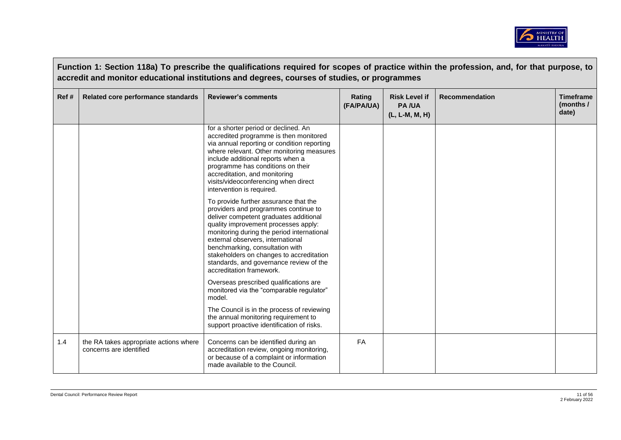

|      |                                                                   | Function 1: Section 118a) To prescribe the qualifications required for scopes of practice within the profession, and, for that purpose, to<br>accredit and monitor educational institutions and degrees, courses of studies, or programmes                                                                                                                                                                                                                                                                                                                                                                                                                                                                                                                                                                                                                                                                                                                                                                 |                      |                                                        |                       |                                        |
|------|-------------------------------------------------------------------|------------------------------------------------------------------------------------------------------------------------------------------------------------------------------------------------------------------------------------------------------------------------------------------------------------------------------------------------------------------------------------------------------------------------------------------------------------------------------------------------------------------------------------------------------------------------------------------------------------------------------------------------------------------------------------------------------------------------------------------------------------------------------------------------------------------------------------------------------------------------------------------------------------------------------------------------------------------------------------------------------------|----------------------|--------------------------------------------------------|-----------------------|----------------------------------------|
| Ref# | Related core performance standards                                | <b>Reviewer's comments</b>                                                                                                                                                                                                                                                                                                                                                                                                                                                                                                                                                                                                                                                                                                                                                                                                                                                                                                                                                                                 | Rating<br>(FA/PA/UA) | <b>Risk Level if</b><br><b>PA/UA</b><br>(L, L-M, M, H) | <b>Recommendation</b> | <b>Timeframe</b><br>(months /<br>date) |
|      |                                                                   | for a shorter period or declined. An<br>accredited programme is then monitored<br>via annual reporting or condition reporting<br>where relevant. Other monitoring measures<br>include additional reports when a<br>programme has conditions on their<br>accreditation, and monitoring<br>visits/videoconferencing when direct<br>intervention is required.<br>To provide further assurance that the<br>providers and programmes continue to<br>deliver competent graduates additional<br>quality improvement processes apply:<br>monitoring during the period international<br>external observers, international<br>benchmarking, consultation with<br>stakeholders on changes to accreditation<br>standards, and governance review of the<br>accreditation framework.<br>Overseas prescribed qualifications are<br>monitored via the "comparable regulator"<br>model.<br>The Council is in the process of reviewing<br>the annual monitoring requirement to<br>support proactive identification of risks. |                      |                                                        |                       |                                        |
| 1.4  | the RA takes appropriate actions where<br>concerns are identified | Concerns can be identified during an<br>accreditation review, ongoing monitoring,<br>or because of a complaint or information<br>made available to the Council.                                                                                                                                                                                                                                                                                                                                                                                                                                                                                                                                                                                                                                                                                                                                                                                                                                            | <b>FA</b>            |                                                        |                       |                                        |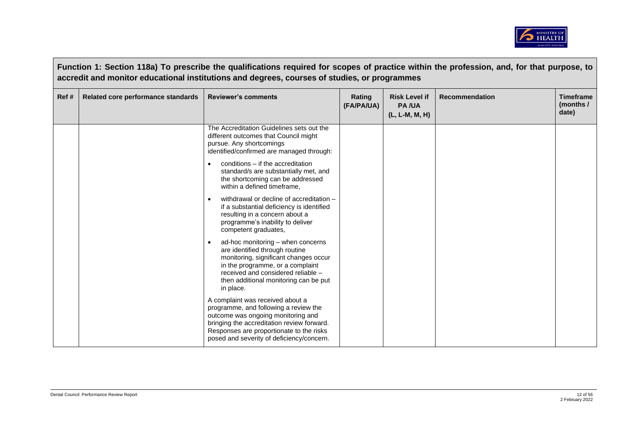

|      |                                    | Function 1: Section 118a) To prescribe the qualifications required for scopes of practice within the profession, and, for that purpose, to<br>accredit and monitor educational institutions and degrees, courses of studies, or programmes                                                                                                                                                                                                                                                                                                                                                                                                                                                                                                                                                                                                                                                                                                                                                                    |                      |                                                        |                       |                                        |
|------|------------------------------------|---------------------------------------------------------------------------------------------------------------------------------------------------------------------------------------------------------------------------------------------------------------------------------------------------------------------------------------------------------------------------------------------------------------------------------------------------------------------------------------------------------------------------------------------------------------------------------------------------------------------------------------------------------------------------------------------------------------------------------------------------------------------------------------------------------------------------------------------------------------------------------------------------------------------------------------------------------------------------------------------------------------|----------------------|--------------------------------------------------------|-----------------------|----------------------------------------|
| Ref# | Related core performance standards | <b>Reviewer's comments</b>                                                                                                                                                                                                                                                                                                                                                                                                                                                                                                                                                                                                                                                                                                                                                                                                                                                                                                                                                                                    | Rating<br>(FA/PA/UA) | <b>Risk Level if</b><br><b>PA/UA</b><br>(L, L-M, M, H) | <b>Recommendation</b> | <b>Timeframe</b><br>(months /<br>date) |
|      |                                    | The Accreditation Guidelines sets out the<br>different outcomes that Council might<br>pursue. Any shortcomings<br>identified/confirmed are managed through:<br>conditions - if the accreditation<br>standard/s are substantially met, and<br>the shortcoming can be addressed<br>within a defined timeframe,<br>withdrawal or decline of accreditation -<br>if a substantial deficiency is identified<br>resulting in a concern about a<br>programme's inability to deliver<br>competent graduates,<br>ad-hoc monitoring - when concerns<br>are identified through routine<br>monitoring, significant changes occur<br>in the programme, or a complaint<br>received and considered reliable -<br>then additional monitoring can be put<br>in place.<br>A complaint was received about a<br>programme, and following a review the<br>outcome was ongoing monitoring and<br>bringing the accreditation review forward.<br>Responses are proportionate to the risks<br>posed and severity of deficiency/concern. |                      |                                                        |                       |                                        |

 $\sqrt{ }$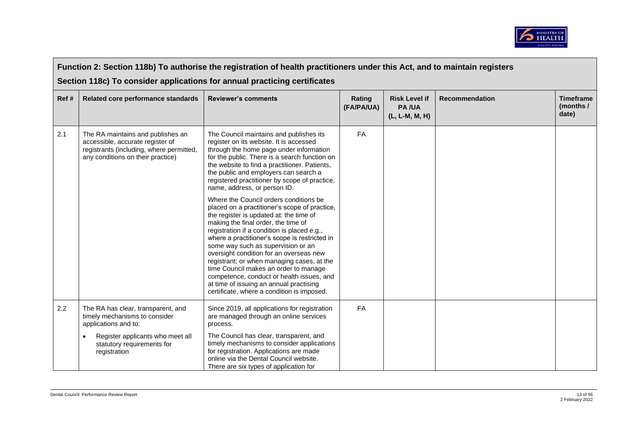

|       | Function 2: Section 118b) To authorise the registration of health practitioners under this Act, and to maintain registers                              |                                                                                                                                                                                                                                                                                                                                                                                                                                                                                                                                                                                                                                                                                                                                                                                                                                                                                                                                                      |                      |                                                        |                       |                                        |  |  |  |
|-------|--------------------------------------------------------------------------------------------------------------------------------------------------------|------------------------------------------------------------------------------------------------------------------------------------------------------------------------------------------------------------------------------------------------------------------------------------------------------------------------------------------------------------------------------------------------------------------------------------------------------------------------------------------------------------------------------------------------------------------------------------------------------------------------------------------------------------------------------------------------------------------------------------------------------------------------------------------------------------------------------------------------------------------------------------------------------------------------------------------------------|----------------------|--------------------------------------------------------|-----------------------|----------------------------------------|--|--|--|
|       | Section 118c) To consider applications for annual practicing certificates                                                                              |                                                                                                                                                                                                                                                                                                                                                                                                                                                                                                                                                                                                                                                                                                                                                                                                                                                                                                                                                      |                      |                                                        |                       |                                        |  |  |  |
| Ref # | Related core performance standards                                                                                                                     | <b>Reviewer's comments</b>                                                                                                                                                                                                                                                                                                                                                                                                                                                                                                                                                                                                                                                                                                                                                                                                                                                                                                                           | Rating<br>(FA/PA/UA) | <b>Risk Level if</b><br><b>PA/UA</b><br>(L, L-M, M, H) | <b>Recommendation</b> | <b>Timeframe</b><br>(months /<br>date) |  |  |  |
| 2.1   | The RA maintains and publishes an<br>accessible, accurate register of<br>registrants (including, where permitted,<br>any conditions on their practice) | The Council maintains and publishes its<br>register on its website. It is accessed<br>through the home page under information<br>for the public. There is a search function on<br>the website to find a practitioner. Patients,<br>the public and employers can search a<br>registered practitioner by scope of practice,<br>name, address, or person ID.<br>Where the Council orders conditions be<br>placed on a practitioner's scope of practice,<br>the register is updated at: the time of<br>making the final order, the time of<br>registration if a condition is placed e.g.,<br>where a practitioner's scope is restricted in<br>some way such as supervision or an<br>oversight condition for an overseas new<br>registrant; or when managing cases, at the<br>time Council makes an order to manage<br>competence, conduct or health issues, and<br>at time of issuing an annual practising<br>certificate, where a condition is imposed. | FA                   |                                                        |                       |                                        |  |  |  |
| 2.2   | The RA has clear, transparent, and<br>timely mechanisms to consider<br>applications and to:                                                            | Since 2019, all applications for registration<br>are managed through an online services<br>process.                                                                                                                                                                                                                                                                                                                                                                                                                                                                                                                                                                                                                                                                                                                                                                                                                                                  | FA                   |                                                        |                       |                                        |  |  |  |
|       | Register applicants who meet all<br>$\bullet$<br>statutory requirements for<br>registration                                                            | The Council has clear, transparent, and<br>timely mechanisms to consider applications<br>for registration. Applications are made<br>online via the Dental Council website.<br>There are six types of application for                                                                                                                                                                                                                                                                                                                                                                                                                                                                                                                                                                                                                                                                                                                                 |                      |                                                        |                       |                                        |  |  |  |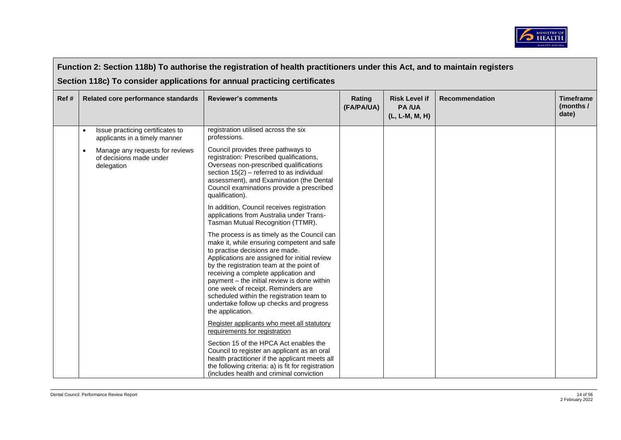

|      | Function 2: Section 118b) To authorise the registration of health practitioners under this Act, and to maintain registers |                                                                          |                                                                                                                                                                                                                                                                                                                                                                                                                                                                   |                      |                                                        |                       |                                        |  |
|------|---------------------------------------------------------------------------------------------------------------------------|--------------------------------------------------------------------------|-------------------------------------------------------------------------------------------------------------------------------------------------------------------------------------------------------------------------------------------------------------------------------------------------------------------------------------------------------------------------------------------------------------------------------------------------------------------|----------------------|--------------------------------------------------------|-----------------------|----------------------------------------|--|
|      |                                                                                                                           |                                                                          | Section 118c) To consider applications for annual practicing certificates                                                                                                                                                                                                                                                                                                                                                                                         |                      |                                                        |                       |                                        |  |
| Ref# |                                                                                                                           | Related core performance standards                                       | <b>Reviewer's comments</b>                                                                                                                                                                                                                                                                                                                                                                                                                                        | Rating<br>(FA/PA/UA) | <b>Risk Level if</b><br><b>PA/UA</b><br>(L, L-M, M, H) | <b>Recommendation</b> | <b>Timeframe</b><br>(months /<br>date) |  |
|      | $\bullet$                                                                                                                 | Issue practicing certificates to<br>applicants in a timely manner        | registration utilised across the six<br>professions.                                                                                                                                                                                                                                                                                                                                                                                                              |                      |                                                        |                       |                                        |  |
|      | $\bullet$                                                                                                                 | Manage any requests for reviews<br>of decisions made under<br>delegation | Council provides three pathways to<br>registration: Prescribed qualifications,<br>Overseas non-prescribed qualifications<br>section $15(2)$ – referred to as individual<br>assessment), and Examination (the Dental<br>Council examinations provide a prescribed<br>qualification).                                                                                                                                                                               |                      |                                                        |                       |                                        |  |
|      |                                                                                                                           |                                                                          | In addition, Council receives registration<br>applications from Australia under Trans-<br>Tasman Mutual Recognition (TTMR).                                                                                                                                                                                                                                                                                                                                       |                      |                                                        |                       |                                        |  |
|      |                                                                                                                           |                                                                          | The process is as timely as the Council can<br>make it, while ensuring competent and safe<br>to practise decisions are made.<br>Applications are assigned for initial review<br>by the registration team at the point of<br>receiving a complete application and<br>payment – the initial review is done within<br>one week of receipt. Reminders are<br>scheduled within the registration team to<br>undertake follow up checks and progress<br>the application. |                      |                                                        |                       |                                        |  |
|      |                                                                                                                           |                                                                          | Register applicants who meet all statutory<br>requirements for registration                                                                                                                                                                                                                                                                                                                                                                                       |                      |                                                        |                       |                                        |  |
|      |                                                                                                                           |                                                                          | Section 15 of the HPCA Act enables the<br>Council to register an applicant as an oral<br>health practitioner if the applicant meets all<br>the following criteria: a) is fit for registration<br>(includes health and criminal conviction                                                                                                                                                                                                                         |                      |                                                        |                       |                                        |  |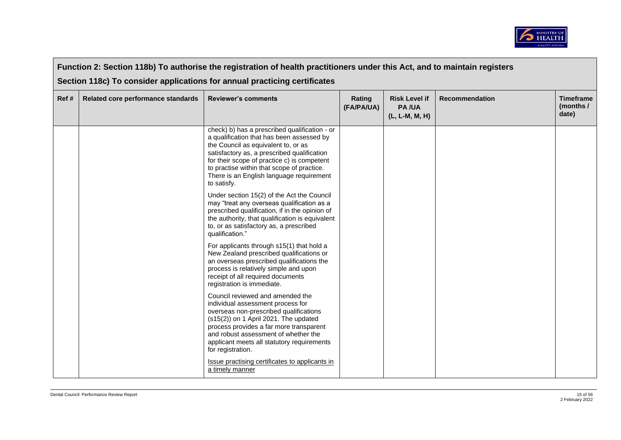

|      | Function 2: Section 118b) To authorise the registration of health practitioners under this Act, and to maintain registers |                                                                                                                                                                                                                                                                                                                                          |                      |                                                        |                       |                                        |  |  |
|------|---------------------------------------------------------------------------------------------------------------------------|------------------------------------------------------------------------------------------------------------------------------------------------------------------------------------------------------------------------------------------------------------------------------------------------------------------------------------------|----------------------|--------------------------------------------------------|-----------------------|----------------------------------------|--|--|
|      | Section 118c) To consider applications for annual practicing certificates                                                 |                                                                                                                                                                                                                                                                                                                                          |                      |                                                        |                       |                                        |  |  |
| Ref# | Related core performance standards                                                                                        | <b>Reviewer's comments</b>                                                                                                                                                                                                                                                                                                               | Rating<br>(FA/PA/UA) | <b>Risk Level if</b><br><b>PA/UA</b><br>(L, L-M, M, H) | <b>Recommendation</b> | <b>Timeframe</b><br>(months /<br>date) |  |  |
|      |                                                                                                                           | check) b) has a prescribed qualification - or<br>a qualification that has been assessed by<br>the Council as equivalent to, or as<br>satisfactory as, a prescribed qualification<br>for their scope of practice c) is competent<br>to practise within that scope of practice.<br>There is an English language requirement<br>to satisfy. |                      |                                                        |                       |                                        |  |  |
|      |                                                                                                                           | Under section 15(2) of the Act the Council<br>may "treat any overseas qualification as a<br>prescribed qualification, if in the opinion of<br>the authority, that qualification is equivalent<br>to, or as satisfactory as, a prescribed<br>qualification."                                                                              |                      |                                                        |                       |                                        |  |  |
|      |                                                                                                                           | For applicants through s15(1) that hold a<br>New Zealand prescribed qualifications or<br>an overseas prescribed qualifications the<br>process is relatively simple and upon<br>receipt of all required documents<br>registration is immediate.                                                                                           |                      |                                                        |                       |                                        |  |  |
|      |                                                                                                                           | Council reviewed and amended the<br>individual assessment process for<br>overseas non-prescribed qualifications<br>$(s15(2))$ on 1 April 2021. The updated<br>process provides a far more transparent<br>and robust assessment of whether the<br>applicant meets all statutory requirements<br>for registration.                         |                      |                                                        |                       |                                        |  |  |
|      |                                                                                                                           | Issue practising certificates to applicants in<br>a timely manner                                                                                                                                                                                                                                                                        |                      |                                                        |                       |                                        |  |  |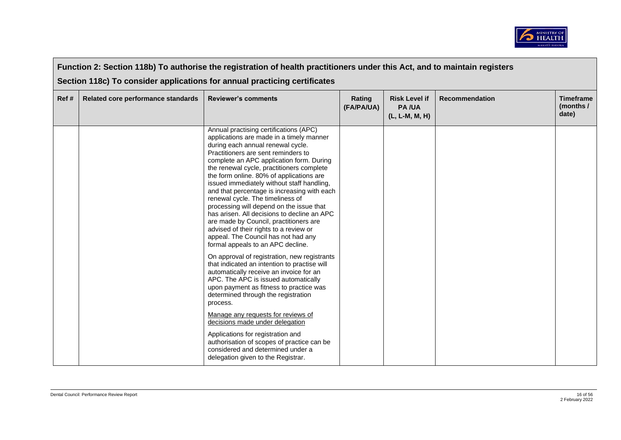

| Function 2: Section 118b) To authorise the registration of health practitioners under this Act, and to maintain registers |                                                                           |                                                                                                                                                                                                                                                                                                                                                                                                                                                                                                                                                                                                                                                                                                                                                                                                                                                                                                                                                                                                                                                                                                                                                                                                                         |                      |                                                        |                       |                                        |  |  |  |
|---------------------------------------------------------------------------------------------------------------------------|---------------------------------------------------------------------------|-------------------------------------------------------------------------------------------------------------------------------------------------------------------------------------------------------------------------------------------------------------------------------------------------------------------------------------------------------------------------------------------------------------------------------------------------------------------------------------------------------------------------------------------------------------------------------------------------------------------------------------------------------------------------------------------------------------------------------------------------------------------------------------------------------------------------------------------------------------------------------------------------------------------------------------------------------------------------------------------------------------------------------------------------------------------------------------------------------------------------------------------------------------------------------------------------------------------------|----------------------|--------------------------------------------------------|-----------------------|----------------------------------------|--|--|--|
|                                                                                                                           | Section 118c) To consider applications for annual practicing certificates |                                                                                                                                                                                                                                                                                                                                                                                                                                                                                                                                                                                                                                                                                                                                                                                                                                                                                                                                                                                                                                                                                                                                                                                                                         |                      |                                                        |                       |                                        |  |  |  |
| Ref #                                                                                                                     | Related core performance standards                                        | <b>Reviewer's comments</b>                                                                                                                                                                                                                                                                                                                                                                                                                                                                                                                                                                                                                                                                                                                                                                                                                                                                                                                                                                                                                                                                                                                                                                                              | Rating<br>(FA/PA/UA) | <b>Risk Level if</b><br><b>PA/UA</b><br>(L, L-M, M, H) | <b>Recommendation</b> | <b>Timeframe</b><br>(months /<br>date) |  |  |  |
|                                                                                                                           |                                                                           | Annual practising certifications (APC)<br>applications are made in a timely manner<br>during each annual renewal cycle.<br>Practitioners are sent reminders to<br>complete an APC application form. During<br>the renewal cycle, practitioners complete<br>the form online. 80% of applications are<br>issued immediately without staff handling,<br>and that percentage is increasing with each<br>renewal cycle. The timeliness of<br>processing will depend on the issue that<br>has arisen. All decisions to decline an APC<br>are made by Council, practitioners are<br>advised of their rights to a review or<br>appeal. The Council has not had any<br>formal appeals to an APC decline.<br>On approval of registration, new registrants<br>that indicated an intention to practise will<br>automatically receive an invoice for an<br>APC. The APC is issued automatically<br>upon payment as fitness to practice was<br>determined through the registration<br>process.<br>Manage any requests for reviews of<br>decisions made under delegation<br>Applications for registration and<br>authorisation of scopes of practice can be<br>considered and determined under a<br>delegation given to the Registrar. |                      |                                                        |                       |                                        |  |  |  |

 $\sqrt{ }$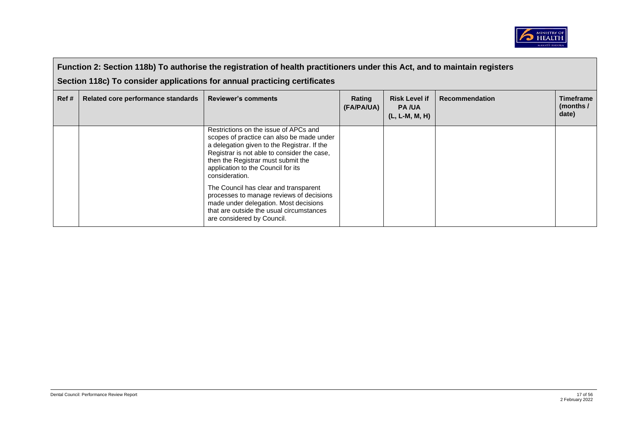

|       | Function 2: Section 118b) To authorise the registration of health practitioners under this Act, and to maintain registers<br>Section 118c) To consider applications for annual practicing certificates |                                                                                                                                                                                                                                                                                |                      |                                                        |                       |                                        |  |  |
|-------|--------------------------------------------------------------------------------------------------------------------------------------------------------------------------------------------------------|--------------------------------------------------------------------------------------------------------------------------------------------------------------------------------------------------------------------------------------------------------------------------------|----------------------|--------------------------------------------------------|-----------------------|----------------------------------------|--|--|
| Ref # | Related core performance standards                                                                                                                                                                     | <b>Reviewer's comments</b>                                                                                                                                                                                                                                                     | Rating<br>(FA/PA/UA) | <b>Risk Level if</b><br><b>PA/UA</b><br>(L, L-M, M, H) | <b>Recommendation</b> | <b>Timeframe</b><br>(months /<br>date) |  |  |
|       |                                                                                                                                                                                                        | Restrictions on the issue of APCs and<br>scopes of practice can also be made under<br>a delegation given to the Registrar. If the<br>Registrar is not able to consider the case,<br>then the Registrar must submit the<br>application to the Council for its<br>consideration. |                      |                                                        |                       |                                        |  |  |
|       |                                                                                                                                                                                                        | The Council has clear and transparent<br>processes to manage reviews of decisions<br>made under delegation. Most decisions<br>that are outside the usual circumstances<br>are considered by Council.                                                                           |                      |                                                        |                       |                                        |  |  |

 $\blacksquare$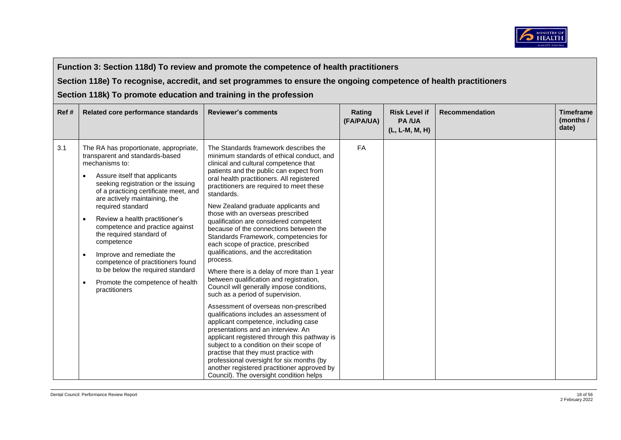

**Section 118e) To recognise, accredit, and set programmes to ensure the ongoing competence of health practitioners** 

| Ref# | Related core performance standards                                                                                                                                                                                                                                                                                                                                                                                                                                                                                                                              | <b>Reviewer's comments</b>                                                                                                                                                                                                                                                                                                                                                                                                                                                                                                                                                                                                                                                                                                                                                                                                                                                                                                                                                                                                                                                                                                                                                                                 | Rating<br>(FA/PA/UA) | <b>Risk Level if</b><br><b>PA/UA</b><br>(L, L-M, M, H) | <b>Recommendation</b> | <b>Timeframe</b><br>(months /<br>date) |
|------|-----------------------------------------------------------------------------------------------------------------------------------------------------------------------------------------------------------------------------------------------------------------------------------------------------------------------------------------------------------------------------------------------------------------------------------------------------------------------------------------------------------------------------------------------------------------|------------------------------------------------------------------------------------------------------------------------------------------------------------------------------------------------------------------------------------------------------------------------------------------------------------------------------------------------------------------------------------------------------------------------------------------------------------------------------------------------------------------------------------------------------------------------------------------------------------------------------------------------------------------------------------------------------------------------------------------------------------------------------------------------------------------------------------------------------------------------------------------------------------------------------------------------------------------------------------------------------------------------------------------------------------------------------------------------------------------------------------------------------------------------------------------------------------|----------------------|--------------------------------------------------------|-----------------------|----------------------------------------|
| 3.1  | The RA has proportionate, appropriate,<br>transparent and standards-based<br>mechanisms to:<br>Assure itself that applicants<br>seeking registration or the issuing<br>of a practicing certificate meet, and<br>are actively maintaining, the<br>required standard<br>Review a health practitioner's<br>$\bullet$<br>competence and practice against<br>the required standard of<br>competence<br>Improve and remediate the<br>competence of practitioners found<br>to be below the required standard<br>Promote the competence of health<br>٠<br>practitioners | The Standards framework describes the<br>minimum standards of ethical conduct, and<br>clinical and cultural competence that<br>patients and the public can expect from<br>oral health practitioners. All registered<br>practitioners are required to meet these<br>standards.<br>New Zealand graduate applicants and<br>those with an overseas prescribed<br>qualification are considered competent<br>because of the connections between the<br>Standards Framework, competencies for<br>each scope of practice, prescribed<br>qualifications, and the accreditation<br>process.<br>Where there is a delay of more than 1 year<br>between qualification and registration,<br>Council will generally impose conditions,<br>such as a period of supervision.<br>Assessment of overseas non-prescribed<br>qualifications includes an assessment of<br>applicant competence, including case<br>presentations and an interview. An<br>applicant registered through this pathway is<br>subject to a condition on their scope of<br>practise that they must practice with<br>professional oversight for six months (by<br>another registered practitioner approved by<br>Council). The oversight condition helps | <b>FA</b>            |                                                        |                       |                                        |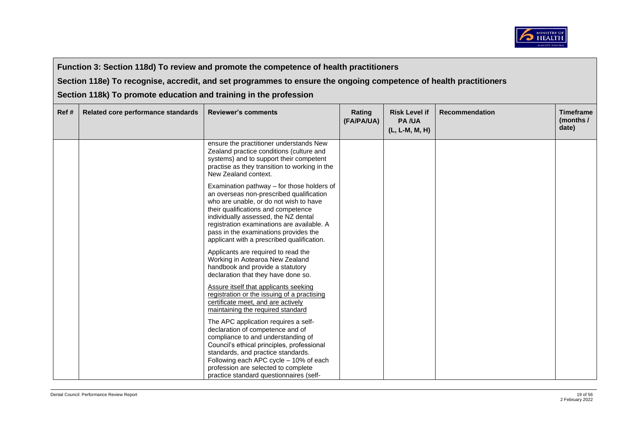

**Section 118e) To recognise, accredit, and set programmes to ensure the ongoing competence of health practitioners** 

| Ref# | Related core performance standards | <b>Reviewer's comments</b>                                                                                                                                                                                                                                                                                                                           | Rating<br>(FA/PA/UA) | <b>Risk Level if</b><br><b>PA/UA</b><br>(L, L-M, M, H) | <b>Recommendation</b> | <b>Timeframe</b><br>(months /<br>date) |
|------|------------------------------------|------------------------------------------------------------------------------------------------------------------------------------------------------------------------------------------------------------------------------------------------------------------------------------------------------------------------------------------------------|----------------------|--------------------------------------------------------|-----------------------|----------------------------------------|
|      |                                    | ensure the practitioner understands New<br>Zealand practice conditions (culture and<br>systems) and to support their competent<br>practise as they transition to working in the<br>New Zealand context.                                                                                                                                              |                      |                                                        |                       |                                        |
|      |                                    | Examination pathway - for those holders of<br>an overseas non-prescribed qualification<br>who are unable, or do not wish to have<br>their qualifications and competence<br>individually assessed, the NZ dental<br>registration examinations are available. A<br>pass in the examinations provides the<br>applicant with a prescribed qualification. |                      |                                                        |                       |                                        |
|      |                                    | Applicants are required to read the<br>Working in Aotearoa New Zealand<br>handbook and provide a statutory<br>declaration that they have done so.                                                                                                                                                                                                    |                      |                                                        |                       |                                        |
|      |                                    | Assure itself that applicants seeking<br>registration or the issuing of a practising<br>certificate meet, and are actively<br>maintaining the required standard                                                                                                                                                                                      |                      |                                                        |                       |                                        |
|      |                                    | The APC application requires a self-<br>declaration of competence and of<br>compliance to and understanding of<br>Council's ethical principles, professional<br>standards, and practice standards.<br>Following each APC cycle - 10% of each<br>profession are selected to complete<br>practice standard questionnaires (self-                       |                      |                                                        |                       |                                        |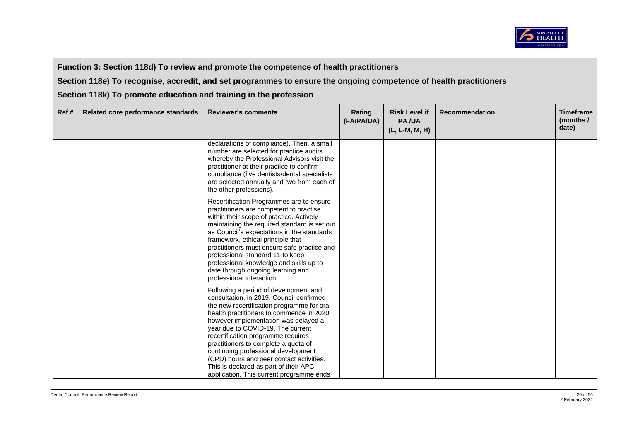

**Section 118e) To recognise, accredit, and set programmes to ensure the ongoing competence of health practitioners** 

| Ref# | Related core performance standards | <b>Reviewer's comments</b>                                                                                                                                                                                                                                                                                                                                                                                                                                                                                     | Rating<br>(FA/PA/UA) | <b>Risk Level if</b><br><b>PA/UA</b><br>(L, L-M, M, H) | <b>Recommendation</b> | <b>Timeframe</b><br>(months /<br>date) |
|------|------------------------------------|----------------------------------------------------------------------------------------------------------------------------------------------------------------------------------------------------------------------------------------------------------------------------------------------------------------------------------------------------------------------------------------------------------------------------------------------------------------------------------------------------------------|----------------------|--------------------------------------------------------|-----------------------|----------------------------------------|
|      |                                    | declarations of compliance). Then, a small<br>number are selected for practice audits<br>whereby the Professional Advisors visit the<br>practitioner at their practice to confirm<br>compliance (five dentists/dental specialists<br>are selected annually and two from each of<br>the other professions).                                                                                                                                                                                                     |                      |                                                        |                       |                                        |
|      |                                    | Recertification Programmes are to ensure<br>practitioners are competent to practise<br>within their scope of practice. Actively<br>maintaining the required standard is set out<br>as Council's expectations in the standards<br>framework, ethical principle that<br>practitioners must ensure safe practice and<br>professional standard 11 to keep<br>professional knowledge and skills up to<br>date through ongoing learning and<br>professional interaction.                                             |                      |                                                        |                       |                                        |
|      |                                    | Following a period of development and<br>consultation, in 2019, Council confirmed<br>the new recertification programme for oral<br>health practitioners to commence in 2020<br>however implementation was delayed a<br>year due to COVID-19. The current<br>recertification programme requires<br>practitioners to complete a quota of<br>continuing professional development<br>(CPD) hours and peer contact activities.<br>This is declared as part of their APC<br>application. This current programme ends |                      |                                                        |                       |                                        |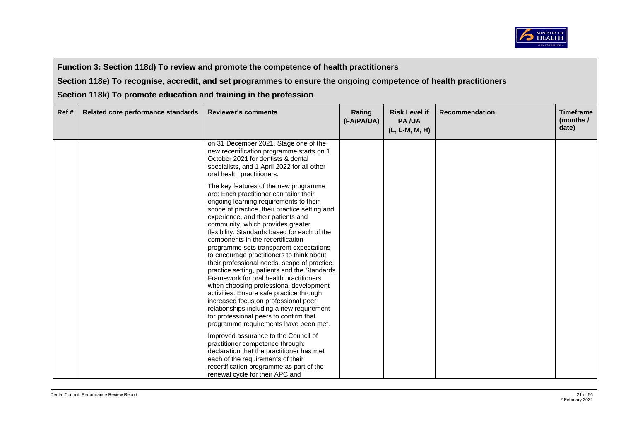

**Section 118e) To recognise, accredit, and set programmes to ensure the ongoing competence of health practitioners** 

| Ref # | Related core performance standards | <b>Reviewer's comments</b>                                                                                                                                                                                                                                                                                                                                                                                                                                                                                                                                                                                                                                                                                                                                                                                                                   | Rating<br>(FA/PA/UA) | <b>Risk Level if</b><br><b>PA/UA</b><br>$(L, L-M, M, H)$ | <b>Recommendation</b> | <b>Timeframe</b><br>(months /<br>date) |
|-------|------------------------------------|----------------------------------------------------------------------------------------------------------------------------------------------------------------------------------------------------------------------------------------------------------------------------------------------------------------------------------------------------------------------------------------------------------------------------------------------------------------------------------------------------------------------------------------------------------------------------------------------------------------------------------------------------------------------------------------------------------------------------------------------------------------------------------------------------------------------------------------------|----------------------|----------------------------------------------------------|-----------------------|----------------------------------------|
|       |                                    | on 31 December 2021. Stage one of the<br>new recertification programme starts on 1<br>October 2021 for dentists & dental<br>specialists, and 1 April 2022 for all other<br>oral health practitioners.                                                                                                                                                                                                                                                                                                                                                                                                                                                                                                                                                                                                                                        |                      |                                                          |                       |                                        |
|       |                                    | The key features of the new programme<br>are: Each practitioner can tailor their<br>ongoing learning requirements to their<br>scope of practice, their practice setting and<br>experience, and their patients and<br>community, which provides greater<br>flexibility. Standards based for each of the<br>components in the recertification<br>programme sets transparent expectations<br>to encourage practitioners to think about<br>their professional needs, scope of practice,<br>practice setting, patients and the Standards<br>Framework for oral health practitioners<br>when choosing professional development<br>activities. Ensure safe practice through<br>increased focus on professional peer<br>relationships including a new requirement<br>for professional peers to confirm that<br>programme requirements have been met. |                      |                                                          |                       |                                        |
|       |                                    | Improved assurance to the Council of<br>practitioner competence through:<br>declaration that the practitioner has met<br>each of the requirements of their<br>recertification programme as part of the<br>renewal cycle for their APC and                                                                                                                                                                                                                                                                                                                                                                                                                                                                                                                                                                                                    |                      |                                                          |                       |                                        |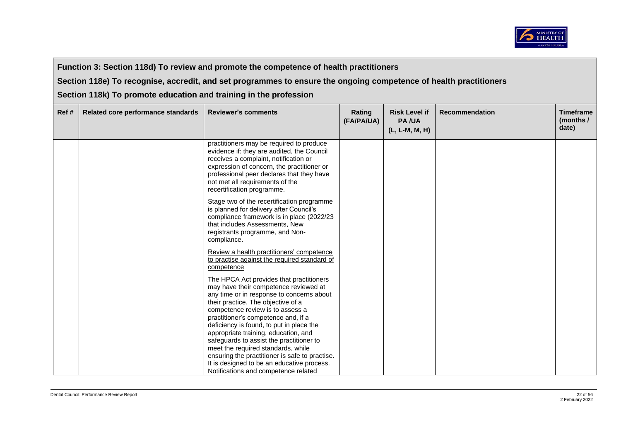

**Section 118e) To recognise, accredit, and set programmes to ensure the ongoing competence of health practitioners** 

| Ref# | Related core performance standards | <b>Reviewer's comments</b>                                                                                                                                                                                                                                                                                                                                                                                                                                                                                                                                    | Rating<br>(FA/PA/UA) | <b>Risk Level if</b><br><b>PA/UA</b><br>(L, L-M, M, H) | <b>Recommendation</b> | <b>Timeframe</b><br>(months /<br>date) |
|------|------------------------------------|---------------------------------------------------------------------------------------------------------------------------------------------------------------------------------------------------------------------------------------------------------------------------------------------------------------------------------------------------------------------------------------------------------------------------------------------------------------------------------------------------------------------------------------------------------------|----------------------|--------------------------------------------------------|-----------------------|----------------------------------------|
|      |                                    | practitioners may be required to produce<br>evidence if: they are audited, the Council<br>receives a complaint, notification or<br>expression of concern, the practitioner or<br>professional peer declares that they have<br>not met all requirements of the<br>recertification programme.                                                                                                                                                                                                                                                                   |                      |                                                        |                       |                                        |
|      |                                    | Stage two of the recertification programme<br>is planned for delivery after Council's<br>compliance framework is in place (2022/23<br>that includes Assessments, New<br>registrants programme, and Non-<br>compliance.                                                                                                                                                                                                                                                                                                                                        |                      |                                                        |                       |                                        |
|      |                                    | Review a health practitioners' competence<br>to practise against the required standard of<br>competence                                                                                                                                                                                                                                                                                                                                                                                                                                                       |                      |                                                        |                       |                                        |
|      |                                    | The HPCA Act provides that practitioners<br>may have their competence reviewed at<br>any time or in response to concerns about<br>their practice. The objective of a<br>competence review is to assess a<br>practitioner's competence and, if a<br>deficiency is found, to put in place the<br>appropriate training, education, and<br>safeguards to assist the practitioner to<br>meet the required standards, while<br>ensuring the practitioner is safe to practise.<br>It is designed to be an educative process.<br>Notifications and competence related |                      |                                                        |                       |                                        |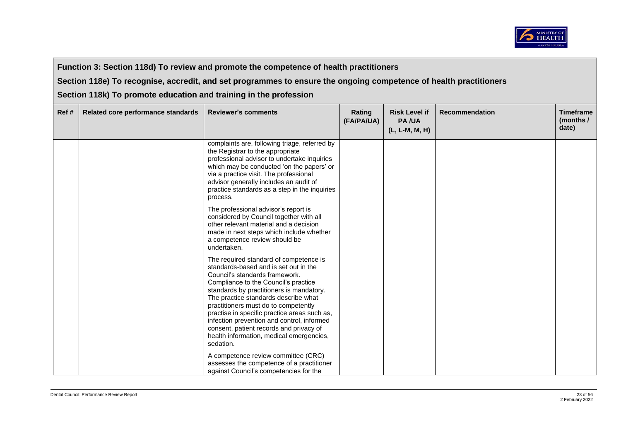

**Section 118e) To recognise, accredit, and set programmes to ensure the ongoing competence of health practitioners** 

| Ref# | Related core performance standards | <b>Reviewer's comments</b>                                                                                                                                                                                                                                                                                                                                                                                                                                                              | Rating<br>(FA/PA/UA) | <b>Risk Level if</b><br><b>PA/UA</b><br>(L, L-M, M, H) | <b>Recommendation</b> | <b>Timeframe</b><br>(months /<br>date) |
|------|------------------------------------|-----------------------------------------------------------------------------------------------------------------------------------------------------------------------------------------------------------------------------------------------------------------------------------------------------------------------------------------------------------------------------------------------------------------------------------------------------------------------------------------|----------------------|--------------------------------------------------------|-----------------------|----------------------------------------|
|      |                                    | complaints are, following triage, referred by<br>the Registrar to the appropriate<br>professional advisor to undertake inquiries<br>which may be conducted 'on the papers' or<br>via a practice visit. The professional<br>advisor generally includes an audit of<br>practice standards as a step in the inquiries<br>process.                                                                                                                                                          |                      |                                                        |                       |                                        |
|      |                                    | The professional advisor's report is<br>considered by Council together with all<br>other relevant material and a decision<br>made in next steps which include whether<br>a competence review should be<br>undertaken.                                                                                                                                                                                                                                                                   |                      |                                                        |                       |                                        |
|      |                                    | The required standard of competence is<br>standards-based and is set out in the<br>Council's standards framework.<br>Compliance to the Council's practice<br>standards by practitioners is mandatory.<br>The practice standards describe what<br>practitioners must do to competently<br>practise in specific practice areas such as,<br>infection prevention and control, informed<br>consent, patient records and privacy of<br>health information, medical emergencies,<br>sedation. |                      |                                                        |                       |                                        |
|      |                                    | A competence review committee (CRC)<br>assesses the competence of a practitioner<br>against Council's competencies for the                                                                                                                                                                                                                                                                                                                                                              |                      |                                                        |                       |                                        |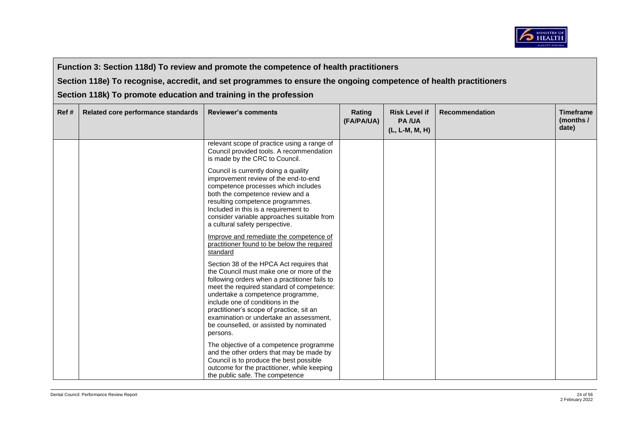

**Section 118e) To recognise, accredit, and set programmes to ensure the ongoing competence of health practitioners** 

| Ref# | Related core performance standards | <b>Reviewer's comments</b>                                                                                                                                                                                                                                                                                                                                                                                | Rating<br>(FA/PA/UA) | <b>Risk Level if</b><br><b>PA/UA</b><br>(L, L-M, M, H) | <b>Recommendation</b> | <b>Timeframe</b><br>(months /<br>date) |
|------|------------------------------------|-----------------------------------------------------------------------------------------------------------------------------------------------------------------------------------------------------------------------------------------------------------------------------------------------------------------------------------------------------------------------------------------------------------|----------------------|--------------------------------------------------------|-----------------------|----------------------------------------|
|      |                                    | relevant scope of practice using a range of<br>Council provided tools. A recommendation<br>is made by the CRC to Council.                                                                                                                                                                                                                                                                                 |                      |                                                        |                       |                                        |
|      |                                    | Council is currently doing a quality<br>improvement review of the end-to-end<br>competence processes which includes<br>both the competence review and a<br>resulting competence programmes.<br>Included in this is a requirement to<br>consider variable approaches suitable from<br>a cultural safety perspective.                                                                                       |                      |                                                        |                       |                                        |
|      |                                    | Improve and remediate the competence of<br>practitioner found to be below the required<br>standard                                                                                                                                                                                                                                                                                                        |                      |                                                        |                       |                                        |
|      |                                    | Section 38 of the HPCA Act requires that<br>the Council must make one or more of the<br>following orders when a practitioner fails to<br>meet the required standard of competence:<br>undertake a competence programme,<br>include one of conditions in the<br>practitioner's scope of practice, sit an<br>examination or undertake an assessment.<br>be counselled, or assisted by nominated<br>persons. |                      |                                                        |                       |                                        |
|      |                                    | The objective of a competence programme<br>and the other orders that may be made by<br>Council is to produce the best possible<br>outcome for the practitioner, while keeping<br>the public safe. The competence                                                                                                                                                                                          |                      |                                                        |                       |                                        |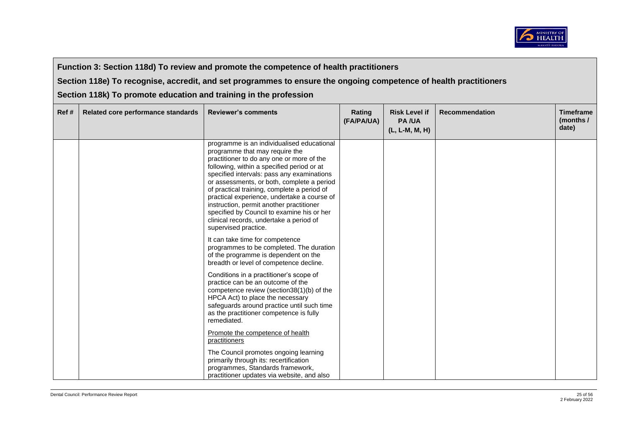

**Section 118e) To recognise, accredit, and set programmes to ensure the ongoing competence of health practitioners** 

| Ref# | Related core performance standards | <b>Reviewer's comments</b>                                                                                                                                                                                                                                                                                                                                                                                                                                                                                                     | Rating<br>(FA/PA/UA) | <b>Risk Level if</b><br><b>PA/UA</b><br>$(L, L-M, M, H)$ | <b>Recommendation</b> | <b>Timeframe</b><br>(months /<br>date) |
|------|------------------------------------|--------------------------------------------------------------------------------------------------------------------------------------------------------------------------------------------------------------------------------------------------------------------------------------------------------------------------------------------------------------------------------------------------------------------------------------------------------------------------------------------------------------------------------|----------------------|----------------------------------------------------------|-----------------------|----------------------------------------|
|      |                                    | programme is an individualised educational<br>programme that may require the<br>practitioner to do any one or more of the<br>following, within a specified period or at<br>specified intervals: pass any examinations<br>or assessments, or both, complete a period<br>of practical training, complete a period of<br>practical experience, undertake a course of<br>instruction, permit another practitioner<br>specified by Council to examine his or her<br>clinical records, undertake a period of<br>supervised practice. |                      |                                                          |                       |                                        |
|      |                                    | It can take time for competence<br>programmes to be completed. The duration<br>of the programme is dependent on the<br>breadth or level of competence decline.                                                                                                                                                                                                                                                                                                                                                                 |                      |                                                          |                       |                                        |
|      |                                    | Conditions in a practitioner's scope of<br>practice can be an outcome of the<br>competence review (section38(1)(b) of the<br>HPCA Act) to place the necessary<br>safeguards around practice until such time<br>as the practitioner competence is fully<br>remediated.                                                                                                                                                                                                                                                          |                      |                                                          |                       |                                        |
|      |                                    | Promote the competence of health<br>practitioners                                                                                                                                                                                                                                                                                                                                                                                                                                                                              |                      |                                                          |                       |                                        |
|      |                                    | The Council promotes ongoing learning<br>primarily through its: recertification<br>programmes, Standards framework,<br>practitioner updates via website, and also                                                                                                                                                                                                                                                                                                                                                              |                      |                                                          |                       |                                        |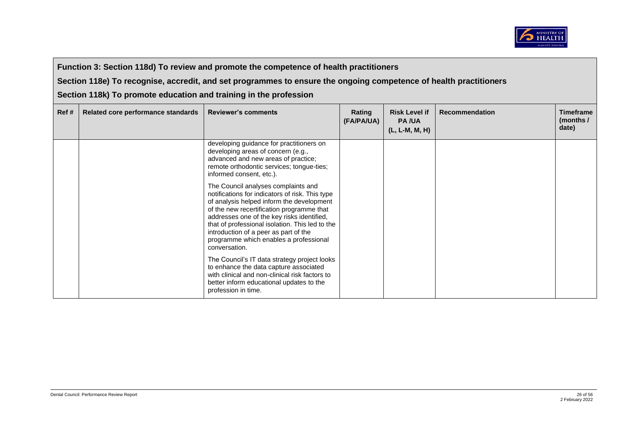

**Section 118e) To recognise, accredit, and set programmes to ensure the ongoing competence of health practitioners** 

| Ref# | Related core performance standards | <b>Reviewer's comments</b>                                                                                                                                                                                                                                                                                                                                                            | Rating<br>(FA/PA/UA) | <b>Risk Level if</b><br><b>PA/UA</b><br>$(L, L-M, M, H)$ | <b>Recommendation</b> | <b>Timeframe</b><br>(months /<br>date) |
|------|------------------------------------|---------------------------------------------------------------------------------------------------------------------------------------------------------------------------------------------------------------------------------------------------------------------------------------------------------------------------------------------------------------------------------------|----------------------|----------------------------------------------------------|-----------------------|----------------------------------------|
|      |                                    | developing guidance for practitioners on<br>developing areas of concern (e.g.,<br>advanced and new areas of practice;<br>remote orthodontic services; tongue-ties;<br>informed consent, etc.).                                                                                                                                                                                        |                      |                                                          |                       |                                        |
|      |                                    | The Council analyses complaints and<br>notifications for indicators of risk. This type<br>of analysis helped inform the development<br>of the new recertification programme that<br>addresses one of the key risks identified,<br>that of professional isolation. This led to the<br>introduction of a peer as part of the<br>programme which enables a professional<br>conversation. |                      |                                                          |                       |                                        |
|      |                                    | The Council's IT data strategy project looks<br>to enhance the data capture associated<br>with clinical and non-clinical risk factors to<br>better inform educational updates to the<br>profession in time.                                                                                                                                                                           |                      |                                                          |                       |                                        |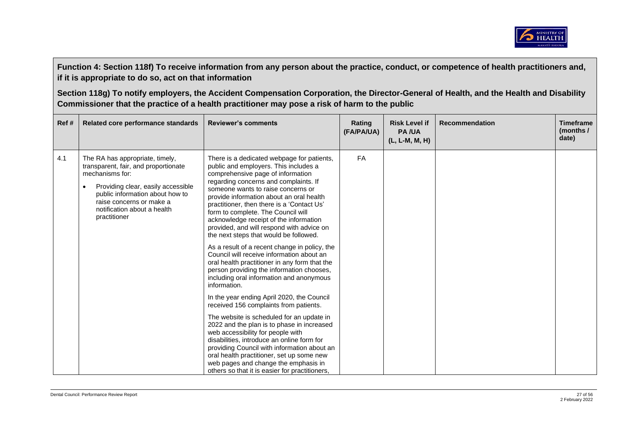

| Ref # | Related core performance standards                                                                                                                                                                                                             | <b>Reviewer's comments</b>                                                                                                                                                                                                                                                                                                                                                                                                                                                                                                                                                                                                                                                                                                                                                                                                                                                                                                                                                                                                                                                                                                                                                                   | Rating<br>(FA/PA/UA) | <b>Risk Level if</b><br><b>PA/UA</b><br>$(L, L-M, M, H)$ | <b>Recommendation</b> | <b>Timeframe</b><br>(months /<br>date) |
|-------|------------------------------------------------------------------------------------------------------------------------------------------------------------------------------------------------------------------------------------------------|----------------------------------------------------------------------------------------------------------------------------------------------------------------------------------------------------------------------------------------------------------------------------------------------------------------------------------------------------------------------------------------------------------------------------------------------------------------------------------------------------------------------------------------------------------------------------------------------------------------------------------------------------------------------------------------------------------------------------------------------------------------------------------------------------------------------------------------------------------------------------------------------------------------------------------------------------------------------------------------------------------------------------------------------------------------------------------------------------------------------------------------------------------------------------------------------|----------------------|----------------------------------------------------------|-----------------------|----------------------------------------|
| 4.1   | The RA has appropriate, timely,<br>transparent, fair, and proportionate<br>mechanisms for:<br>Providing clear, easily accessible<br>public information about how to<br>raise concerns or make a<br>notification about a health<br>practitioner | There is a dedicated webpage for patients,<br>public and employers. This includes a<br>comprehensive page of information<br>regarding concerns and complaints. If<br>someone wants to raise concerns or<br>provide information about an oral health<br>practitioner, then there is a 'Contact Us'<br>form to complete. The Council will<br>acknowledge receipt of the information<br>provided, and will respond with advice on<br>the next steps that would be followed.<br>As a result of a recent change in policy, the<br>Council will receive information about an<br>oral health practitioner in any form that the<br>person providing the information chooses,<br>including oral information and anonymous<br>information.<br>In the year ending April 2020, the Council<br>received 156 complaints from patients.<br>The website is scheduled for an update in<br>2022 and the plan is to phase in increased<br>web accessibility for people with<br>disabilities, introduce an online form for<br>providing Council with information about an<br>oral health practitioner, set up some new<br>web pages and change the emphasis in<br>others so that it is easier for practitioners. | FA                   |                                                          |                       |                                        |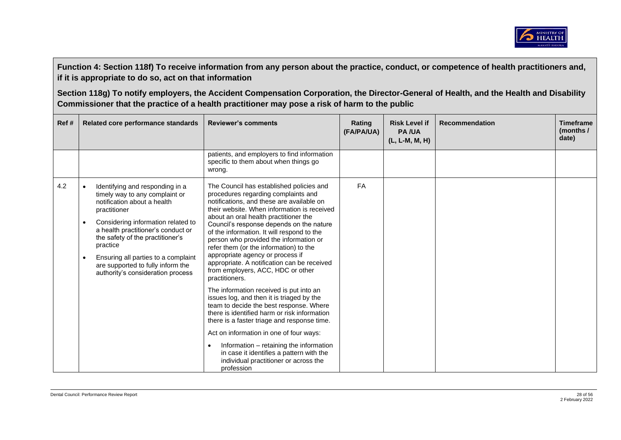

| Ref# | Related core performance standards                                                                                                                                                                                                                                                                                                                                         | <b>Reviewer's comments</b>                                                                                                                                                                                                                                                                                                                                                                                                                                                                                                                                                                                                                                                                                                                                                                                                                                                                                                                                                           | Rating<br>(FA/PA/UA) | <b>Risk Level if</b><br><b>PA/UA</b><br>(L, L-M, M, H) | <b>Recommendation</b> | <b>Timeframe</b><br>(months /<br>date) |
|------|----------------------------------------------------------------------------------------------------------------------------------------------------------------------------------------------------------------------------------------------------------------------------------------------------------------------------------------------------------------------------|--------------------------------------------------------------------------------------------------------------------------------------------------------------------------------------------------------------------------------------------------------------------------------------------------------------------------------------------------------------------------------------------------------------------------------------------------------------------------------------------------------------------------------------------------------------------------------------------------------------------------------------------------------------------------------------------------------------------------------------------------------------------------------------------------------------------------------------------------------------------------------------------------------------------------------------------------------------------------------------|----------------------|--------------------------------------------------------|-----------------------|----------------------------------------|
|      |                                                                                                                                                                                                                                                                                                                                                                            | patients, and employers to find information<br>specific to them about when things go<br>wrong.                                                                                                                                                                                                                                                                                                                                                                                                                                                                                                                                                                                                                                                                                                                                                                                                                                                                                       |                      |                                                        |                       |                                        |
| 4.2  | Identifying and responding in a<br>timely way to any complaint or<br>notification about a health<br>practitioner<br>Considering information related to<br>$\bullet$<br>a health practitioner's conduct or<br>the safety of the practitioner's<br>practice<br>Ensuring all parties to a complaint<br>are supported to fully inform the<br>authority's consideration process | The Council has established policies and<br>procedures regarding complaints and<br>notifications, and these are available on<br>their website. When information is received<br>about an oral health practitioner the<br>Council's response depends on the nature<br>of the information. It will respond to the<br>person who provided the information or<br>refer them (or the information) to the<br>appropriate agency or process if<br>appropriate. A notification can be received<br>from employers, ACC, HDC or other<br>practitioners.<br>The information received is put into an<br>issues log, and then it is triaged by the<br>team to decide the best response. Where<br>there is identified harm or risk information<br>there is a faster triage and response time.<br>Act on information in one of four ways:<br>Information - retaining the information<br>$\bullet$<br>in case it identifies a pattern with the<br>individual practitioner or across the<br>profession | FA                   |                                                        |                       |                                        |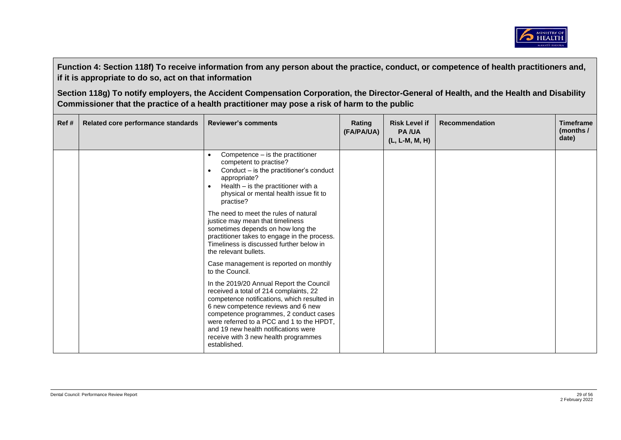

| Ref # | Related core performance standards | <b>Reviewer's comments</b>                                                                                                                                                                                                                                                                                                                                     | Rating<br>(FA/PA/UA) | <b>Risk Level if</b><br><b>PA/UA</b><br>(L, L-M, M, H) | <b>Recommendation</b> | <b>Timeframe</b><br>(months $/$<br>date) |
|-------|------------------------------------|----------------------------------------------------------------------------------------------------------------------------------------------------------------------------------------------------------------------------------------------------------------------------------------------------------------------------------------------------------------|----------------------|--------------------------------------------------------|-----------------------|------------------------------------------|
|       |                                    | Competence - is the practitioner<br>$\bullet$<br>competent to practise?<br>Conduct – is the practitioner's conduct<br>$\bullet$<br>appropriate?<br>Health $-$ is the practitioner with a<br>$\bullet$<br>physical or mental health issue fit to<br>practise?                                                                                                   |                      |                                                        |                       |                                          |
|       |                                    | The need to meet the rules of natural<br>justice may mean that timeliness<br>sometimes depends on how long the<br>practitioner takes to engage in the process.<br>Timeliness is discussed further below in<br>the relevant bullets.                                                                                                                            |                      |                                                        |                       |                                          |
|       |                                    | Case management is reported on monthly<br>to the Council.                                                                                                                                                                                                                                                                                                      |                      |                                                        |                       |                                          |
|       |                                    | In the 2019/20 Annual Report the Council<br>received a total of 214 complaints, 22<br>competence notifications, which resulted in<br>6 new competence reviews and 6 new<br>competence programmes, 2 conduct cases<br>were referred to a PCC and 1 to the HPDT,<br>and 19 new health notifications were<br>receive with 3 new health programmes<br>established. |                      |                                                        |                       |                                          |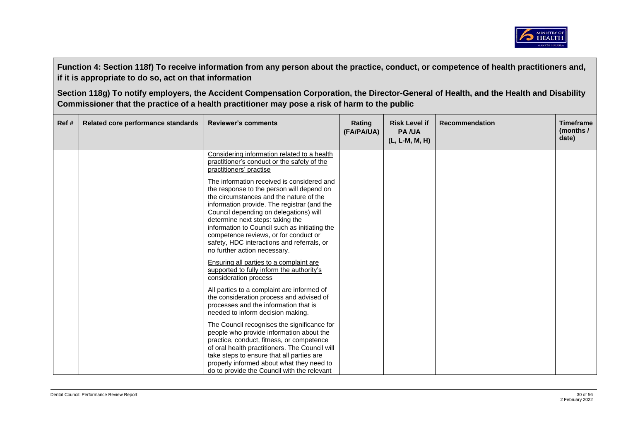

| Ref# | Related core performance standards | <b>Reviewer's comments</b>                                                                                                                                                                                                                                                                                                                                                                                                              | Rating<br>(FA/PA/UA) | <b>Risk Level if</b><br><b>PA/UA</b><br>(L, L-M, M, H) | <b>Recommendation</b> | <b>Timeframe</b><br>(months $/$<br>date) |
|------|------------------------------------|-----------------------------------------------------------------------------------------------------------------------------------------------------------------------------------------------------------------------------------------------------------------------------------------------------------------------------------------------------------------------------------------------------------------------------------------|----------------------|--------------------------------------------------------|-----------------------|------------------------------------------|
|      |                                    | Considering information related to a health<br>practitioner's conduct or the safety of the<br>practitioners' practise                                                                                                                                                                                                                                                                                                                   |                      |                                                        |                       |                                          |
|      |                                    | The information received is considered and<br>the response to the person will depend on<br>the circumstances and the nature of the<br>information provide. The registrar (and the<br>Council depending on delegations) will<br>determine next steps: taking the<br>information to Council such as initiating the<br>competence reviews, or for conduct or<br>safety, HDC interactions and referrals, or<br>no further action necessary. |                      |                                                        |                       |                                          |
|      |                                    | <b>Ensuring all parties to a complaint are</b><br>supported to fully inform the authority's<br>consideration process                                                                                                                                                                                                                                                                                                                    |                      |                                                        |                       |                                          |
|      |                                    | All parties to a complaint are informed of<br>the consideration process and advised of<br>processes and the information that is<br>needed to inform decision making.                                                                                                                                                                                                                                                                    |                      |                                                        |                       |                                          |
|      |                                    | The Council recognises the significance for<br>people who provide information about the<br>practice, conduct, fitness, or competence<br>of oral health practitioners. The Council will<br>take steps to ensure that all parties are<br>properly informed about what they need to<br>do to provide the Council with the relevant                                                                                                         |                      |                                                        |                       |                                          |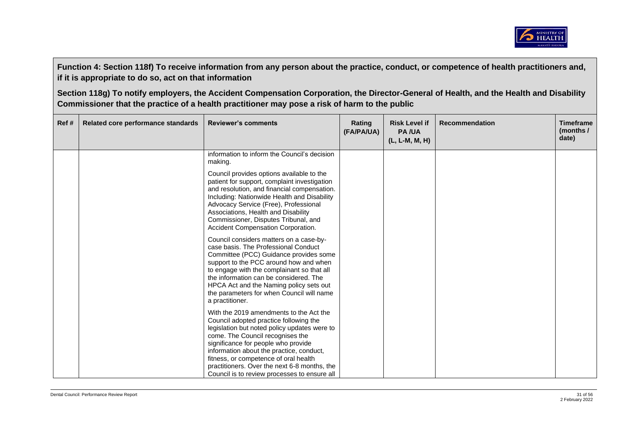

| Ref# | Related core performance standards | <b>Reviewer's comments</b>                                                                                                                                                                                                                                                                                                                                                                        | Rating<br>(FA/PA/UA) | <b>Risk Level if</b><br><b>PA/UA</b><br>(L, L-M, M, H) | <b>Recommendation</b> | <b>Timeframe</b><br>(months $/$<br>date) |
|------|------------------------------------|---------------------------------------------------------------------------------------------------------------------------------------------------------------------------------------------------------------------------------------------------------------------------------------------------------------------------------------------------------------------------------------------------|----------------------|--------------------------------------------------------|-----------------------|------------------------------------------|
|      |                                    | information to inform the Council's decision<br>making.                                                                                                                                                                                                                                                                                                                                           |                      |                                                        |                       |                                          |
|      |                                    | Council provides options available to the<br>patient for support, complaint investigation<br>and resolution, and financial compensation.<br>Including: Nationwide Health and Disability<br>Advocacy Service (Free), Professional<br>Associations, Health and Disability<br>Commissioner, Disputes Tribunal, and<br>Accident Compensation Corporation.                                             |                      |                                                        |                       |                                          |
|      |                                    | Council considers matters on a case-by-<br>case basis. The Professional Conduct<br>Committee (PCC) Guidance provides some<br>support to the PCC around how and when<br>to engage with the complainant so that all<br>the information can be considered. The<br>HPCA Act and the Naming policy sets out<br>the parameters for when Council will name<br>a practitioner.                            |                      |                                                        |                       |                                          |
|      |                                    | With the 2019 amendments to the Act the<br>Council adopted practice following the<br>legislation but noted policy updates were to<br>come. The Council recognises the<br>significance for people who provide<br>information about the practice, conduct,<br>fitness, or competence of oral health<br>practitioners. Over the next 6-8 months, the<br>Council is to review processes to ensure all |                      |                                                        |                       |                                          |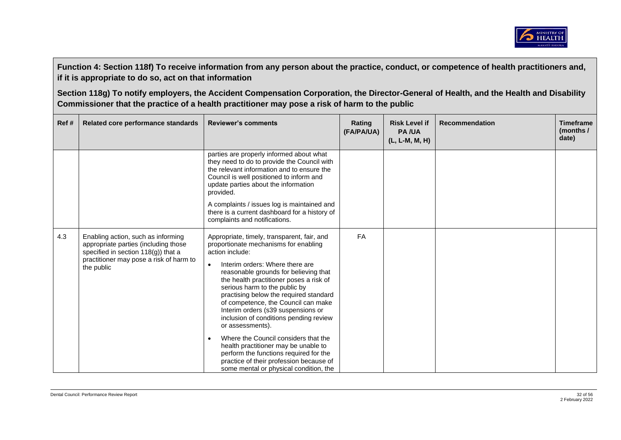

| Ref# | Related core performance standards                                                                                                                                            | <b>Reviewer's comments</b>                                                                                                                                                                                                                                                                                                                                                                                                                                                                                                                                                                                                                                                                    | Rating<br>(FA/PA/UA) | <b>Risk Level if</b><br><b>PA/UA</b><br>(L, L-M, M, H) | <b>Recommendation</b> | <b>Timeframe</b><br>(months /<br>date) |
|------|-------------------------------------------------------------------------------------------------------------------------------------------------------------------------------|-----------------------------------------------------------------------------------------------------------------------------------------------------------------------------------------------------------------------------------------------------------------------------------------------------------------------------------------------------------------------------------------------------------------------------------------------------------------------------------------------------------------------------------------------------------------------------------------------------------------------------------------------------------------------------------------------|----------------------|--------------------------------------------------------|-----------------------|----------------------------------------|
|      |                                                                                                                                                                               | parties are properly informed about what<br>they need to do to provide the Council with<br>the relevant information and to ensure the<br>Council is well positioned to inform and<br>update parties about the information<br>provided.<br>A complaints / issues log is maintained and<br>there is a current dashboard for a history of<br>complaints and notifications.                                                                                                                                                                                                                                                                                                                       |                      |                                                        |                       |                                        |
| 4.3  | Enabling action, such as informing<br>appropriate parties (including those<br>specified in section $118(g)$ ) that a<br>practitioner may pose a risk of harm to<br>the public | Appropriate, timely, transparent, fair, and<br>proportionate mechanisms for enabling<br>action include:<br>Interim orders: Where there are<br>$\bullet$<br>reasonable grounds for believing that<br>the health practitioner poses a risk of<br>serious harm to the public by<br>practising below the required standard<br>of competence, the Council can make<br>Interim orders (s39 suspensions or<br>inclusion of conditions pending review<br>or assessments).<br>Where the Council considers that the<br>$\bullet$<br>health practitioner may be unable to<br>perform the functions required for the<br>practice of their profession because of<br>some mental or physical condition, the | <b>FA</b>            |                                                        |                       |                                        |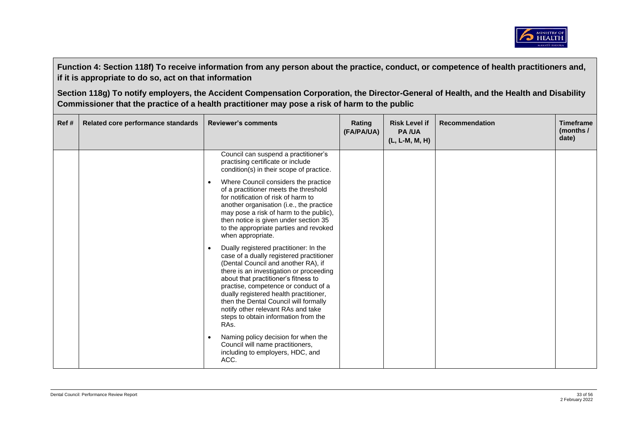

| Ref# | Related core performance standards | <b>Reviewer's comments</b>                                                                                                                                                                                                                                                                                                                                                                                                                              | Rating<br>(FA/PA/UA) | <b>Risk Level if</b><br><b>PA/UA</b><br>(L, L-M, M, H) | <b>Recommendation</b> | <b>Timeframe</b><br>(months /<br>date) |
|------|------------------------------------|---------------------------------------------------------------------------------------------------------------------------------------------------------------------------------------------------------------------------------------------------------------------------------------------------------------------------------------------------------------------------------------------------------------------------------------------------------|----------------------|--------------------------------------------------------|-----------------------|----------------------------------------|
|      |                                    | Council can suspend a practitioner's<br>practising certificate or include<br>condition(s) in their scope of practice.                                                                                                                                                                                                                                                                                                                                   |                      |                                                        |                       |                                        |
|      |                                    | Where Council considers the practice<br>$\bullet$<br>of a practitioner meets the threshold<br>for notification of risk of harm to<br>another organisation (i.e., the practice<br>may pose a risk of harm to the public),<br>then notice is given under section 35<br>to the appropriate parties and revoked<br>when appropriate.                                                                                                                        |                      |                                                        |                       |                                        |
|      |                                    | Dually registered practitioner: In the<br>$\bullet$<br>case of a dually registered practitioner<br>(Dental Council and another RA), if<br>there is an investigation or proceeding<br>about that practitioner's fitness to<br>practise, competence or conduct of a<br>dually registered health practitioner,<br>then the Dental Council will formally<br>notify other relevant RAs and take<br>steps to obtain information from the<br>RA <sub>S</sub> . |                      |                                                        |                       |                                        |
|      |                                    | Naming policy decision for when the<br>$\bullet$<br>Council will name practitioners,<br>including to employers, HDC, and<br>ACC.                                                                                                                                                                                                                                                                                                                        |                      |                                                        |                       |                                        |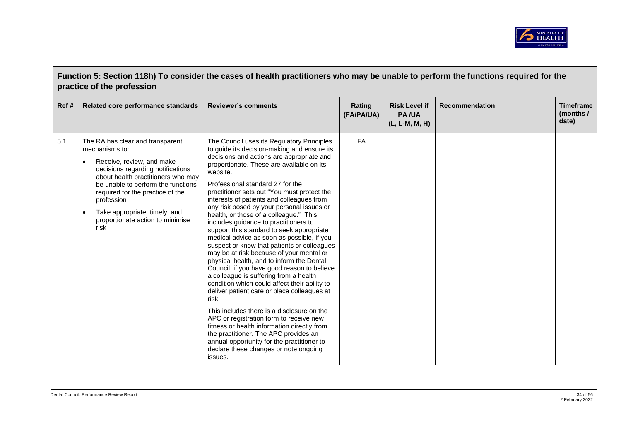

| Function 5: Section 118h) To consider the cases of health practitioners who may be unable to perform the functions required for the |
|-------------------------------------------------------------------------------------------------------------------------------------|
| practice of the profession                                                                                                          |

| Ref# | Related core performance standards                                                                                                                                                                                                                                                                                                                        | <b>Reviewer's comments</b>                                                                                                                                                                                                                                                                                                                                                                                                                                                                                                                                                                                                                                                                                                                                                                                                                                                                                                                                                                                                                                                                                                                                                              | Rating<br>(FA/PA/UA) | <b>Risk Level if</b><br><b>PA/UA</b><br>(L, L-M, M, H) | <b>Recommendation</b> | <b>Timeframe</b><br>(months /<br>date) |
|------|-----------------------------------------------------------------------------------------------------------------------------------------------------------------------------------------------------------------------------------------------------------------------------------------------------------------------------------------------------------|-----------------------------------------------------------------------------------------------------------------------------------------------------------------------------------------------------------------------------------------------------------------------------------------------------------------------------------------------------------------------------------------------------------------------------------------------------------------------------------------------------------------------------------------------------------------------------------------------------------------------------------------------------------------------------------------------------------------------------------------------------------------------------------------------------------------------------------------------------------------------------------------------------------------------------------------------------------------------------------------------------------------------------------------------------------------------------------------------------------------------------------------------------------------------------------------|----------------------|--------------------------------------------------------|-----------------------|----------------------------------------|
| 5.1  | The RA has clear and transparent<br>mechanisms to:<br>Receive, review, and make<br>$\bullet$<br>decisions regarding notifications<br>about health practitioners who may<br>be unable to perform the functions<br>required for the practice of the<br>profession<br>Take appropriate, timely, and<br>$\bullet$<br>proportionate action to minimise<br>risk | The Council uses its Regulatory Principles<br>to guide its decision-making and ensure its<br>decisions and actions are appropriate and<br>proportionate. These are available on its<br>website.<br>Professional standard 27 for the<br>practitioner sets out "You must protect the<br>interests of patients and colleagues from<br>any risk posed by your personal issues or<br>health, or those of a colleague." This<br>includes guidance to practitioners to<br>support this standard to seek appropriate<br>medical advice as soon as possible, if you<br>suspect or know that patients or colleagues<br>may be at risk because of your mental or<br>physical health, and to inform the Dental<br>Council, if you have good reason to believe<br>a colleague is suffering from a health<br>condition which could affect their ability to<br>deliver patient care or place colleagues at<br>risk.<br>This includes there is a disclosure on the<br>APC or registration form to receive new<br>fitness or health information directly from<br>the practitioner. The APC provides an<br>annual opportunity for the practitioner to<br>declare these changes or note ongoing<br>issues. | <b>FA</b>            |                                                        |                       |                                        |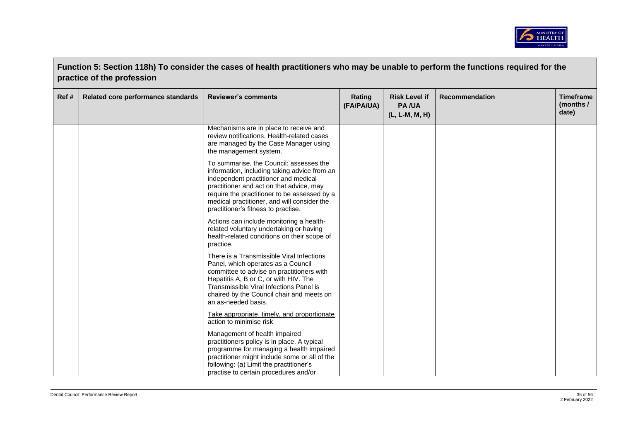

|      | Function 5: Section 118h) To consider the cases of health practitioners who may be unable to perform the functions required for the<br>practice of the profession |                                                                                                                                                                                                                                                                                                                   |                      |                                                        |                       |                                        |  |
|------|-------------------------------------------------------------------------------------------------------------------------------------------------------------------|-------------------------------------------------------------------------------------------------------------------------------------------------------------------------------------------------------------------------------------------------------------------------------------------------------------------|----------------------|--------------------------------------------------------|-----------------------|----------------------------------------|--|
| Ref# | Related core performance standards                                                                                                                                | <b>Reviewer's comments</b>                                                                                                                                                                                                                                                                                        | Rating<br>(FA/PA/UA) | <b>Risk Level if</b><br><b>PA/UA</b><br>(L, L-M, M, H) | <b>Recommendation</b> | <b>Timeframe</b><br>(months /<br>date) |  |
|      |                                                                                                                                                                   | Mechanisms are in place to receive and<br>review notifications. Health-related cases<br>are managed by the Case Manager using<br>the management system.                                                                                                                                                           |                      |                                                        |                       |                                        |  |
|      |                                                                                                                                                                   | To summarise, the Council: assesses the<br>information, including taking advice from an<br>independent practitioner and medical<br>practitioner and act on that advice, may<br>require the practitioner to be assessed by a<br>medical practitioner, and will consider the<br>practitioner's fitness to practise. |                      |                                                        |                       |                                        |  |
|      |                                                                                                                                                                   | Actions can include monitoring a health-<br>related voluntary undertaking or having<br>health-related conditions on their scope of<br>practice.                                                                                                                                                                   |                      |                                                        |                       |                                        |  |
|      |                                                                                                                                                                   | There is a Transmissible Viral Infections<br>Panel, which operates as a Council<br>committee to advise on practitioners with<br>Hepatitis A, B or C, or with HIV. The<br>Transmissible Viral Infections Panel is<br>chaired by the Council chair and meets on<br>an as-needed basis.                              |                      |                                                        |                       |                                        |  |
|      |                                                                                                                                                                   | Take appropriate, timely, and proportionate<br>action to minimise risk                                                                                                                                                                                                                                            |                      |                                                        |                       |                                        |  |
|      |                                                                                                                                                                   | Management of health impaired<br>practitioners policy is in place. A typical<br>programme for managing a health impaired<br>practitioner might include some or all of the<br>following: (a) Limit the practitioner's<br>practise to certain procedures and/or                                                     |                      |                                                        |                       |                                        |  |

 $\blacksquare$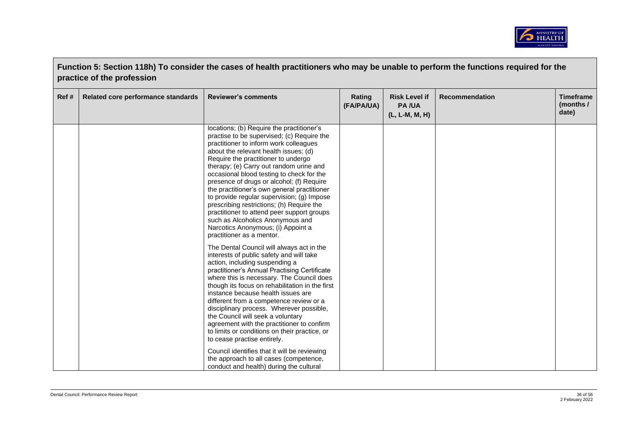

|      | Function 5: Section 118h) To consider the cases of health practitioners who may be unable to perform the functions required for the<br>practice of the profession |                                                                                                                                                                                                                                                                                                                                                                                                                                                                                                                                                                                                                                                                                                                                                                                                                                                                                                                                                                                                                                                                                                                                                                                                                                                                                                                                                                       |                      |                                                        |                       |                                        |  |
|------|-------------------------------------------------------------------------------------------------------------------------------------------------------------------|-----------------------------------------------------------------------------------------------------------------------------------------------------------------------------------------------------------------------------------------------------------------------------------------------------------------------------------------------------------------------------------------------------------------------------------------------------------------------------------------------------------------------------------------------------------------------------------------------------------------------------------------------------------------------------------------------------------------------------------------------------------------------------------------------------------------------------------------------------------------------------------------------------------------------------------------------------------------------------------------------------------------------------------------------------------------------------------------------------------------------------------------------------------------------------------------------------------------------------------------------------------------------------------------------------------------------------------------------------------------------|----------------------|--------------------------------------------------------|-----------------------|----------------------------------------|--|
| Ref# | Related core performance standards                                                                                                                                | <b>Reviewer's comments</b>                                                                                                                                                                                                                                                                                                                                                                                                                                                                                                                                                                                                                                                                                                                                                                                                                                                                                                                                                                                                                                                                                                                                                                                                                                                                                                                                            | Rating<br>(FA/PA/UA) | <b>Risk Level if</b><br><b>PA/UA</b><br>(L, L-M, M, H) | <b>Recommendation</b> | <b>Timeframe</b><br>(months /<br>date) |  |
|      |                                                                                                                                                                   | locations; (b) Require the practitioner's<br>practise to be supervised; (c) Require the<br>practitioner to inform work colleagues<br>about the relevant health issues; (d)<br>Require the practitioner to undergo<br>therapy; (e) Carry out random urine and<br>occasional blood testing to check for the<br>presence of drugs or alcohol; (f) Require<br>the practitioner's own general practitioner<br>to provide regular supervision; (g) Impose<br>prescribing restrictions; (h) Require the<br>practitioner to attend peer support groups<br>such as Alcoholics Anonymous and<br>Narcotics Anonymous; (i) Appoint a<br>practitioner as a mentor.<br>The Dental Council will always act in the<br>interests of public safety and will take<br>action, including suspending a<br>practitioner's Annual Practising Certificate<br>where this is necessary. The Council does<br>though its focus on rehabilitation in the first<br>instance because health issues are<br>different from a competence review or a<br>disciplinary process. Wherever possible,<br>the Council will seek a voluntary<br>agreement with the practitioner to confirm<br>to limits or conditions on their practice, or<br>to cease practise entirely.<br>Council identifies that it will be reviewing<br>the approach to all cases (competence,<br>conduct and health) during the cultural |                      |                                                        |                       |                                        |  |

 $\overline{a}$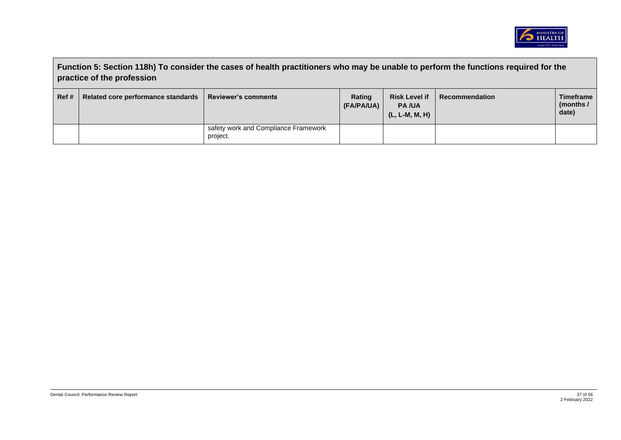

|       | Function 5: Section 118h) To consider the cases of health practitioners who may be unable to perform the functions required for the<br>practice of the profession |                                                  |                      |                                                        |                |                                   |  |
|-------|-------------------------------------------------------------------------------------------------------------------------------------------------------------------|--------------------------------------------------|----------------------|--------------------------------------------------------|----------------|-----------------------------------|--|
| Ref # | Related core performance standards                                                                                                                                | <b>Reviewer's comments</b>                       | Rating<br>(FA/PA/UA) | <b>Risk Level if</b><br><b>PA/UA</b><br>(L, L-M, M, H) | Recommendation | Timeframe<br>(months $/$<br>date) |  |
|       |                                                                                                                                                                   | safety work and Compliance Framework<br>project. |                      |                                                        |                |                                   |  |

 $\blacksquare$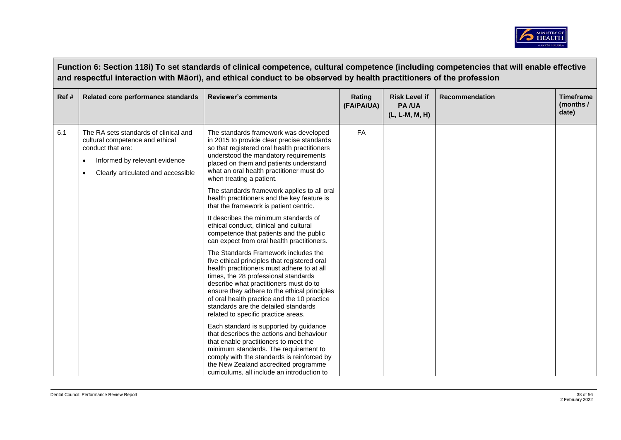

|      | Function 6: Section 118i) To set standards of clinical competence, cultural competence (including competencies that will enable effective<br>and respectful interaction with Māori), and ethical conduct to be observed by health practitioners of the profession |                                                                                                                                                                                                                                                                                                                                                                                                    |                      |                                                        |                       |                                        |  |  |
|------|-------------------------------------------------------------------------------------------------------------------------------------------------------------------------------------------------------------------------------------------------------------------|----------------------------------------------------------------------------------------------------------------------------------------------------------------------------------------------------------------------------------------------------------------------------------------------------------------------------------------------------------------------------------------------------|----------------------|--------------------------------------------------------|-----------------------|----------------------------------------|--|--|
| Ref# | Related core performance standards                                                                                                                                                                                                                                | <b>Reviewer's comments</b>                                                                                                                                                                                                                                                                                                                                                                         | Rating<br>(FA/PA/UA) | <b>Risk Level if</b><br><b>PA/UA</b><br>(L, L-M, M, H) | <b>Recommendation</b> | <b>Timeframe</b><br>(months /<br>date) |  |  |
| 6.1  | The RA sets standards of clinical and<br>cultural competence and ethical<br>conduct that are:<br>Informed by relevant evidence<br>Clearly articulated and accessible                                                                                              | The standards framework was developed<br>in 2015 to provide clear precise standards<br>so that registered oral health practitioners<br>understood the mandatory requirements<br>placed on them and patients understand<br>what an oral health practitioner must do<br>when treating a patient.                                                                                                     | <b>FA</b>            |                                                        |                       |                                        |  |  |
|      |                                                                                                                                                                                                                                                                   | The standards framework applies to all oral<br>health practitioners and the key feature is<br>that the framework is patient centric.                                                                                                                                                                                                                                                               |                      |                                                        |                       |                                        |  |  |
|      |                                                                                                                                                                                                                                                                   | It describes the minimum standards of<br>ethical conduct, clinical and cultural<br>competence that patients and the public<br>can expect from oral health practitioners.                                                                                                                                                                                                                           |                      |                                                        |                       |                                        |  |  |
|      |                                                                                                                                                                                                                                                                   | The Standards Framework includes the<br>five ethical principles that registered oral<br>health practitioners must adhere to at all<br>times, the 28 professional standards<br>describe what practitioners must do to<br>ensure they adhere to the ethical principles<br>of oral health practice and the 10 practice<br>standards are the detailed standards<br>related to specific practice areas. |                      |                                                        |                       |                                        |  |  |
|      |                                                                                                                                                                                                                                                                   | Each standard is supported by guidance<br>that describes the actions and behaviour<br>that enable practitioners to meet the<br>minimum standards. The requirement to<br>comply with the standards is reinforced by<br>the New Zealand accredited programme<br>curriculums, all include an introduction to                                                                                          |                      |                                                        |                       |                                        |  |  |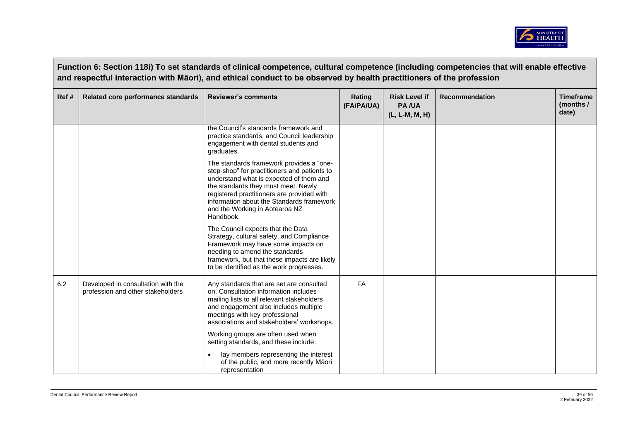

|      | Function 6: Section 118i) To set standards of clinical competence, cultural competence (including competencies that will enable effective<br>and respectful interaction with Māori), and ethical conduct to be observed by health practitioners of the profession |                                                                                                                                                                                                                                                                                                                      |                      |                                                 |                       |                                        |  |  |
|------|-------------------------------------------------------------------------------------------------------------------------------------------------------------------------------------------------------------------------------------------------------------------|----------------------------------------------------------------------------------------------------------------------------------------------------------------------------------------------------------------------------------------------------------------------------------------------------------------------|----------------------|-------------------------------------------------|-----------------------|----------------------------------------|--|--|
| Ref# | Related core performance standards                                                                                                                                                                                                                                | <b>Reviewer's comments</b>                                                                                                                                                                                                                                                                                           | Rating<br>(FA/PA/UA) | <b>Risk Level if</b><br>PA/UA<br>(L, L-M, M, H) | <b>Recommendation</b> | <b>Timeframe</b><br>(months /<br>date) |  |  |
|      |                                                                                                                                                                                                                                                                   | the Council's standards framework and<br>practice standards, and Council leadership<br>engagement with dental students and<br>graduates.                                                                                                                                                                             |                      |                                                 |                       |                                        |  |  |
|      |                                                                                                                                                                                                                                                                   | The standards framework provides a "one-<br>stop-shop" for practitioners and patients to<br>understand what is expected of them and<br>the standards they must meet. Newly<br>registered practitioners are provided with<br>information about the Standards framework<br>and the Working in Aotearoa NZ<br>Handbook. |                      |                                                 |                       |                                        |  |  |
|      |                                                                                                                                                                                                                                                                   | The Council expects that the Data<br>Strategy, cultural safety, and Compliance<br>Framework may have some impacts on<br>needing to amend the standards<br>framework, but that these impacts are likely<br>to be identified as the work progresses.                                                                   |                      |                                                 |                       |                                        |  |  |
| 6.2  | Developed in consultation with the<br>profession and other stakeholders                                                                                                                                                                                           | Any standards that are set are consulted<br>on. Consultation information includes<br>mailing lists to all relevant stakeholders<br>and engagement also includes multiple<br>meetings with key professional<br>associations and stakeholders' workshops.                                                              | FA                   |                                                 |                       |                                        |  |  |
|      |                                                                                                                                                                                                                                                                   | Working groups are often used when<br>setting standards, and these include:                                                                                                                                                                                                                                          |                      |                                                 |                       |                                        |  |  |
|      |                                                                                                                                                                                                                                                                   | lay members representing the interest<br>of the public, and more recently Māori<br>representation                                                                                                                                                                                                                    |                      |                                                 |                       |                                        |  |  |

 $\sim 10^{-10}$  m  $^{-1}$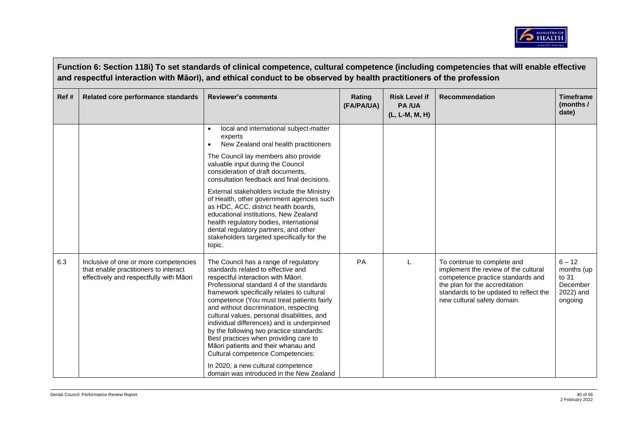

|      | Function 6: Section 118i) To set standards of clinical competence, cultural competence (including competencies that will enable effective<br>and respectful interaction with Māori), and ethical conduct to be observed by health practitioners of the profession |                                                                                                                                                                                                                                                                                                                                                                                                                                                                                                                                                                                                                                                     |                      |                                                        |                                                                                                                                                                                                                     |                                                                     |  |  |  |
|------|-------------------------------------------------------------------------------------------------------------------------------------------------------------------------------------------------------------------------------------------------------------------|-----------------------------------------------------------------------------------------------------------------------------------------------------------------------------------------------------------------------------------------------------------------------------------------------------------------------------------------------------------------------------------------------------------------------------------------------------------------------------------------------------------------------------------------------------------------------------------------------------------------------------------------------------|----------------------|--------------------------------------------------------|---------------------------------------------------------------------------------------------------------------------------------------------------------------------------------------------------------------------|---------------------------------------------------------------------|--|--|--|
| Ref# | Related core performance standards                                                                                                                                                                                                                                | <b>Reviewer's comments</b>                                                                                                                                                                                                                                                                                                                                                                                                                                                                                                                                                                                                                          | Rating<br>(FA/PA/UA) | <b>Risk Level if</b><br><b>PA/UA</b><br>(L, L-M, M, H) | <b>Recommendation</b>                                                                                                                                                                                               | <b>Timeframe</b><br>(months /<br>date)                              |  |  |  |
|      |                                                                                                                                                                                                                                                                   | local and international subject-matter<br>experts<br>New Zealand oral health practitioners<br>$\bullet$                                                                                                                                                                                                                                                                                                                                                                                                                                                                                                                                             |                      |                                                        |                                                                                                                                                                                                                     |                                                                     |  |  |  |
|      |                                                                                                                                                                                                                                                                   | The Council lay members also provide<br>valuable input during the Council<br>consideration of draft documents,<br>consultation feedback and final decisions.                                                                                                                                                                                                                                                                                                                                                                                                                                                                                        |                      |                                                        |                                                                                                                                                                                                                     |                                                                     |  |  |  |
|      |                                                                                                                                                                                                                                                                   | External stakeholders include the Ministry<br>of Health, other government agencies such<br>as HDC, ACC, district health boards,<br>educational institutions, New Zealand<br>health regulatory bodies, international<br>dental regulatory partners, and other<br>stakeholders targeted specifically for the<br>topic.                                                                                                                                                                                                                                                                                                                                |                      |                                                        |                                                                                                                                                                                                                     |                                                                     |  |  |  |
| 6.3  | Inclusive of one or more competencies<br>that enable practitioners to interact<br>effectively and respectfully with Māori                                                                                                                                         | The Council has a range of regulatory<br>standards related to effective and<br>respectful interaction with Māori.<br>Professional standard 4 of the standards<br>framework specifically relates to cultural<br>competence (You must treat patients fairly<br>and without discrimination, respecting<br>cultural values, personal disabilities, and<br>individual differences) and is underpinned<br>by the following two practice standards:<br>Best practices when providing care to<br>Māori patients and their whanau and<br>Cultural competence Competencies:<br>In 2020, a new cultural competence<br>domain was introduced in the New Zealand | PA                   |                                                        | To continue to complete and<br>implement the review of the cultural<br>competence practice standards and<br>the plan for the accreditation<br>standards to be updated to reflect the<br>new cultural safety domain. | $6 - 12$<br>months (up<br>to 31<br>December<br>2022) and<br>ongoing |  |  |  |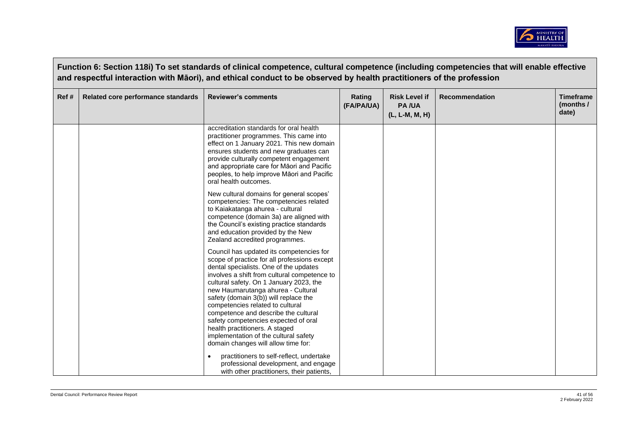

|       | Function 6: Section 118i) To set standards of clinical competence, cultural competence (including competencies that will enable effective<br>and respectful interaction with Māori), and ethical conduct to be observed by health practitioners of the profession |                                                                                                                                                                                                                                                                                                                                                                                                                                                                                                             |                      |                                                          |                       |                                        |  |  |
|-------|-------------------------------------------------------------------------------------------------------------------------------------------------------------------------------------------------------------------------------------------------------------------|-------------------------------------------------------------------------------------------------------------------------------------------------------------------------------------------------------------------------------------------------------------------------------------------------------------------------------------------------------------------------------------------------------------------------------------------------------------------------------------------------------------|----------------------|----------------------------------------------------------|-----------------------|----------------------------------------|--|--|
| Ref # | Related core performance standards                                                                                                                                                                                                                                | <b>Reviewer's comments</b>                                                                                                                                                                                                                                                                                                                                                                                                                                                                                  | Rating<br>(FA/PA/UA) | <b>Risk Level if</b><br><b>PA/UA</b><br>$(L, L-M, M, H)$ | <b>Recommendation</b> | <b>Timeframe</b><br>(months /<br>date) |  |  |
|       |                                                                                                                                                                                                                                                                   | accreditation standards for oral health<br>practitioner programmes. This came into<br>effect on 1 January 2021. This new domain<br>ensures students and new graduates can<br>provide culturally competent engagement<br>and appropriate care for Māori and Pacific<br>peoples, to help improve Māori and Pacific<br>oral health outcomes.                                                                                                                                                                   |                      |                                                          |                       |                                        |  |  |
|       |                                                                                                                                                                                                                                                                   | New cultural domains for general scopes'<br>competencies: The competencies related<br>to Kaiakatanga ahurea - cultural<br>competence (domain 3a) are aligned with<br>the Council's existing practice standards<br>and education provided by the New<br>Zealand accredited programmes.                                                                                                                                                                                                                       |                      |                                                          |                       |                                        |  |  |
|       |                                                                                                                                                                                                                                                                   | Council has updated its competencies for<br>scope of practice for all professions except<br>dental specialists. One of the updates<br>involves a shift from cultural competence to<br>cultural safety. On 1 January 2023, the<br>new Haumarutanga ahurea - Cultural<br>safety (domain 3(b)) will replace the<br>competencies related to cultural<br>competence and describe the cultural<br>safety competencies expected of oral<br>health practitioners. A staged<br>implementation of the cultural safety |                      |                                                          |                       |                                        |  |  |
|       |                                                                                                                                                                                                                                                                   | domain changes will allow time for:<br>practitioners to self-reflect, undertake<br>professional development, and engage<br>with other practitioners, their patients,                                                                                                                                                                                                                                                                                                                                        |                      |                                                          |                       |                                        |  |  |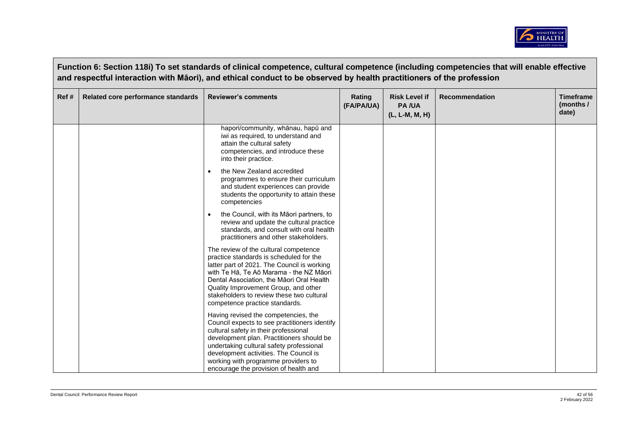

| Ref# | Related core performance standards | <b>Reviewer's comments</b>                                                                                                                                                                                                                                                                                                                        | Rating<br>(FA/PA/UA) | <b>Risk Level if</b><br><b>PA/UA</b><br>(L, L-M, M, H) | <b>Recommendation</b> | <b>Timeframe</b><br>(months /<br>date) |
|------|------------------------------------|---------------------------------------------------------------------------------------------------------------------------------------------------------------------------------------------------------------------------------------------------------------------------------------------------------------------------------------------------|----------------------|--------------------------------------------------------|-----------------------|----------------------------------------|
|      |                                    | hapori/community, whānau, hapū and<br>iwi as required, to understand and<br>attain the cultural safety<br>competencies, and introduce these<br>into their practice.                                                                                                                                                                               |                      |                                                        |                       |                                        |
|      |                                    | the New Zealand accredited<br>$\bullet$<br>programmes to ensure their curriculum<br>and student experiences can provide<br>students the opportunity to attain these<br>competencies                                                                                                                                                               |                      |                                                        |                       |                                        |
|      |                                    | the Council, with its Māori partners, to<br>$\bullet$<br>review and update the cultural practice<br>standards, and consult with oral health<br>practitioners and other stakeholders.                                                                                                                                                              |                      |                                                        |                       |                                        |
|      |                                    | The review of the cultural competence<br>practice standards is scheduled for the<br>latter part of 2021. The Council is working<br>with Te Hā, Te Aō Marama - the NZ Māori<br>Dental Association, the Māori Oral Health<br>Quality Improvement Group, and other<br>stakeholders to review these two cultural<br>competence practice standards.    |                      |                                                        |                       |                                        |
|      |                                    | Having revised the competencies, the<br>Council expects to see practitioners identify<br>cultural safety in their professional<br>development plan. Practitioners should be<br>undertaking cultural safety professional<br>development activities. The Council is<br>working with programme providers to<br>encourage the provision of health and |                      |                                                        |                       |                                        |

 $\sim 10^{-10}$  km s  $^{-1}$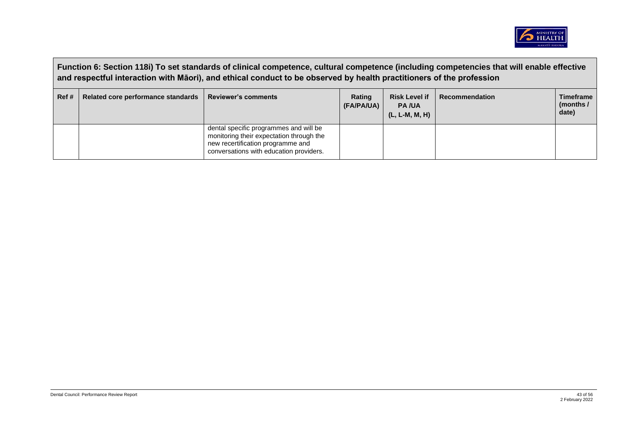

|      | Function 6: Section 118i) To set standards of clinical competence, cultural competence (including competencies that will enable effective<br>and respectful interaction with Māori), and ethical conduct to be observed by health practitioners of the profession |                                                                                                                                                                    |                      |                                                        |                       |                                        |  |  |
|------|-------------------------------------------------------------------------------------------------------------------------------------------------------------------------------------------------------------------------------------------------------------------|--------------------------------------------------------------------------------------------------------------------------------------------------------------------|----------------------|--------------------------------------------------------|-----------------------|----------------------------------------|--|--|
| Ref# | Related core performance standards                                                                                                                                                                                                                                | <b>Reviewer's comments</b>                                                                                                                                         | Rating<br>(FA/PA/UA) | <b>Risk Level if</b><br><b>PA/UA</b><br>(L, L-M, M, H) | <b>Recommendation</b> | <b>Timeframe</b><br>(months /<br>date) |  |  |
|      |                                                                                                                                                                                                                                                                   | dental specific programmes and will be<br>monitoring their expectation through the<br>new recertification programme and<br>conversations with education providers. |                      |                                                        |                       |                                        |  |  |

 $\overline{a}$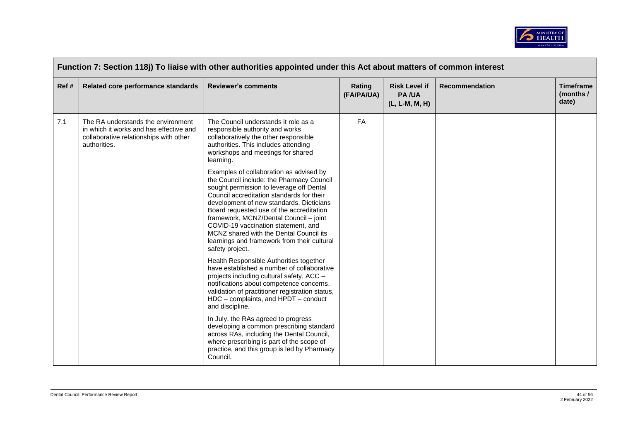

| Ref# | Related core performance standards                                                                                                      | <b>Reviewer's comments</b>                                                                                                                                                                                                                                                                                                                                                                                                                                          | Rating<br>(FA/PA/UA) | <b>Risk Level if</b><br><b>PA/UA</b><br>(L, L-M, M, H) | Recommendation | <b>Timeframe</b><br>(months /<br>date) |
|------|-----------------------------------------------------------------------------------------------------------------------------------------|---------------------------------------------------------------------------------------------------------------------------------------------------------------------------------------------------------------------------------------------------------------------------------------------------------------------------------------------------------------------------------------------------------------------------------------------------------------------|----------------------|--------------------------------------------------------|----------------|----------------------------------------|
| 7.1  | The RA understands the environment<br>in which it works and has effective and<br>collaborative relationships with other<br>authorities. | The Council understands it role as a<br>responsible authority and works<br>collaboratively the other responsible<br>authorities. This includes attending<br>workshops and meetings for shared<br>learning.                                                                                                                                                                                                                                                          | FA                   |                                                        |                |                                        |
|      |                                                                                                                                         | Examples of collaboration as advised by<br>the Council include: the Pharmacy Council<br>sought permission to leverage off Dental<br>Council accreditation standards for their<br>development of new standards, Dieticians<br>Board requested use of the accreditation<br>framework, MCNZ/Dental Council - joint<br>COVID-19 vaccination statement, and<br>MCNZ shared with the Dental Council its<br>learnings and framework from their cultural<br>safety project. |                      |                                                        |                |                                        |
|      |                                                                                                                                         | Health Responsible Authorities together<br>have established a number of collaborative<br>projects including cultural safety, ACC -<br>notifications about competence concerns,<br>validation of practitioner registration status,<br>HDC - complaints, and HPDT - conduct<br>and discipline.                                                                                                                                                                        |                      |                                                        |                |                                        |
|      |                                                                                                                                         | In July, the RAs agreed to progress<br>developing a common prescribing standard<br>across RAs, including the Dental Council,<br>where prescribing is part of the scope of<br>practice, and this group is led by Pharmacy<br>Council.                                                                                                                                                                                                                                |                      |                                                        |                |                                        |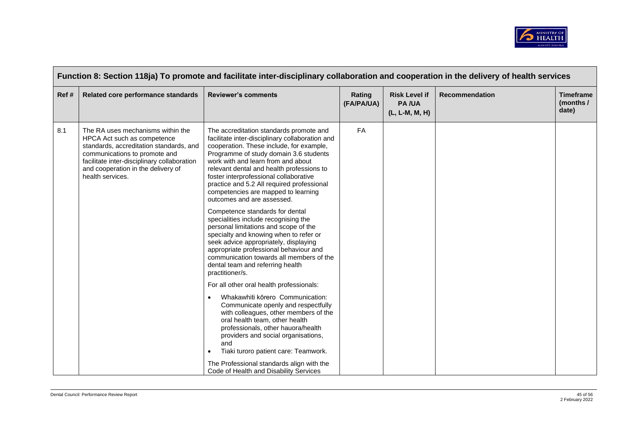

|      | Function 8: Section 118ja) To promote and facilitate inter-disciplinary collaboration and cooperation in the delivery of health services                                                                                                              |                                                                                                                                                                                                                                                                                                                                                                                                                                  |                      |                                                        |                       |                                        |  |  |
|------|-------------------------------------------------------------------------------------------------------------------------------------------------------------------------------------------------------------------------------------------------------|----------------------------------------------------------------------------------------------------------------------------------------------------------------------------------------------------------------------------------------------------------------------------------------------------------------------------------------------------------------------------------------------------------------------------------|----------------------|--------------------------------------------------------|-----------------------|----------------------------------------|--|--|
| Ref# | Related core performance standards                                                                                                                                                                                                                    | <b>Reviewer's comments</b>                                                                                                                                                                                                                                                                                                                                                                                                       | Rating<br>(FA/PA/UA) | <b>Risk Level if</b><br><b>PA/UA</b><br>(L, L-M, M, H) | <b>Recommendation</b> | <b>Timeframe</b><br>(months /<br>date) |  |  |
| 8.1  | The RA uses mechanisms within the<br>HPCA Act such as competence<br>standards, accreditation standards, and<br>communications to promote and<br>facilitate inter-disciplinary collaboration<br>and cooperation in the delivery of<br>health services. | The accreditation standards promote and<br>facilitate inter-disciplinary collaboration and<br>cooperation. These include, for example,<br>Programme of study domain 3.6 students<br>work with and learn from and about<br>relevant dental and health professions to<br>foster interprofessional collaborative<br>practice and 5.2 All required professional<br>competencies are mapped to learning<br>outcomes and are assessed. | FA                   |                                                        |                       |                                        |  |  |
|      |                                                                                                                                                                                                                                                       | Competence standards for dental<br>specialities include recognising the<br>personal limitations and scope of the<br>specialty and knowing when to refer or<br>seek advice appropriately, displaying<br>appropriate professional behaviour and<br>communication towards all members of the<br>dental team and referring health<br>practitioner/s.                                                                                 |                      |                                                        |                       |                                        |  |  |
|      |                                                                                                                                                                                                                                                       | For all other oral health professionals:<br>Whakawhiti korero Communication:<br>Communicate openly and respectfully<br>with colleagues, other members of the<br>oral health team, other health<br>professionals, other hauora/health<br>providers and social organisations,<br>and<br>Tiaki turoro patient care: Teamwork.<br>$\bullet$                                                                                          |                      |                                                        |                       |                                        |  |  |
|      |                                                                                                                                                                                                                                                       | The Professional standards align with the<br>Code of Health and Disability Services                                                                                                                                                                                                                                                                                                                                              |                      |                                                        |                       |                                        |  |  |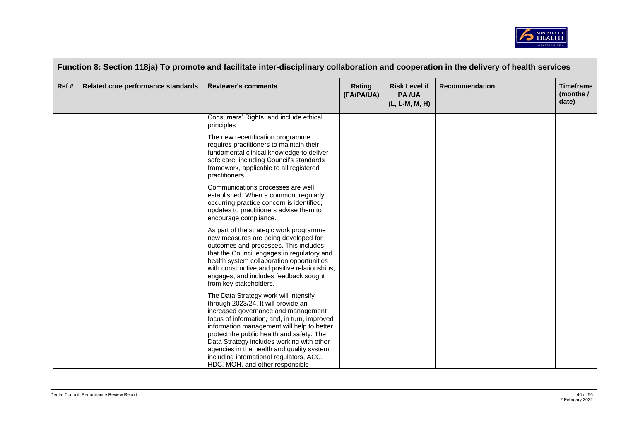

|      | Function 8: Section 118ja) To promote and facilitate inter-disciplinary collaboration and cooperation in the delivery of health services |                                                                                                                                                                                                                                                                                                                                                                                                                                          |                      |                                                        |                       |                                        |  |  |  |
|------|------------------------------------------------------------------------------------------------------------------------------------------|------------------------------------------------------------------------------------------------------------------------------------------------------------------------------------------------------------------------------------------------------------------------------------------------------------------------------------------------------------------------------------------------------------------------------------------|----------------------|--------------------------------------------------------|-----------------------|----------------------------------------|--|--|--|
| Ref# | Related core performance standards                                                                                                       | <b>Reviewer's comments</b>                                                                                                                                                                                                                                                                                                                                                                                                               | Rating<br>(FA/PA/UA) | <b>Risk Level if</b><br><b>PA/UA</b><br>(L, L-M, M, H) | <b>Recommendation</b> | <b>Timeframe</b><br>(months /<br>date) |  |  |  |
|      |                                                                                                                                          | Consumers' Rights, and include ethical<br>principles                                                                                                                                                                                                                                                                                                                                                                                     |                      |                                                        |                       |                                        |  |  |  |
|      |                                                                                                                                          | The new recertification programme<br>requires practitioners to maintain their<br>fundamental clinical knowledge to deliver<br>safe care, including Council's standards<br>framework, applicable to all registered<br>practitioners.                                                                                                                                                                                                      |                      |                                                        |                       |                                        |  |  |  |
|      |                                                                                                                                          | Communications processes are well<br>established. When a common, regularly<br>occurring practice concern is identified,<br>updates to practitioners advise them to<br>encourage compliance.                                                                                                                                                                                                                                              |                      |                                                        |                       |                                        |  |  |  |
|      |                                                                                                                                          | As part of the strategic work programme<br>new measures are being developed for<br>outcomes and processes. This includes<br>that the Council engages in regulatory and<br>health system collaboration opportunities<br>with constructive and positive relationships,<br>engages, and includes feedback sought<br>from key stakeholders.                                                                                                  |                      |                                                        |                       |                                        |  |  |  |
|      |                                                                                                                                          | The Data Strategy work will intensify<br>through 2023/24. It will provide an<br>increased governance and management<br>focus of information, and, in turn, improved<br>information management will help to better<br>protect the public health and safety. The<br>Data Strategy includes working with other<br>agencies in the health and quality system,<br>including international regulators, ACC,<br>HDC, MOH, and other responsible |                      |                                                        |                       |                                        |  |  |  |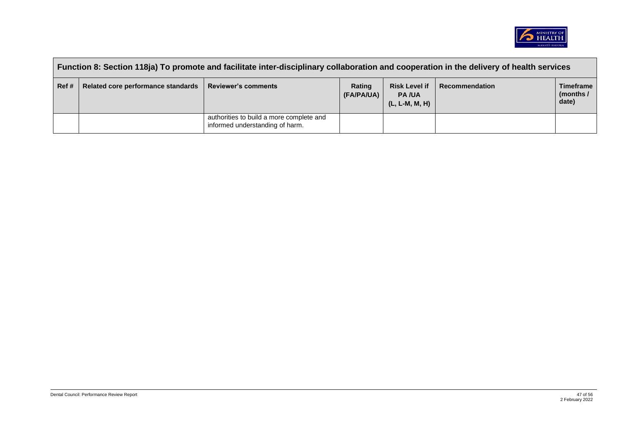

|      | Function 8: Section 118ja) To promote and facilitate inter-disciplinary collaboration and cooperation in the delivery of health services |                                                                             |                      |                                                        |                |                                          |  |  |
|------|------------------------------------------------------------------------------------------------------------------------------------------|-----------------------------------------------------------------------------|----------------------|--------------------------------------------------------|----------------|------------------------------------------|--|--|
| Ref# | Related core performance standards                                                                                                       | <b>Reviewer's comments</b>                                                  | Rating<br>(FA/PA/UA) | <b>Risk Level if</b><br><b>PA/UA</b><br>(L, L-M, M, H) | Recommendation | <b>Timeframe</b><br>(months $/$<br>date) |  |  |
|      |                                                                                                                                          | authorities to build a more complete and<br>informed understanding of harm. |                      |                                                        |                |                                          |  |  |

 $\blacksquare$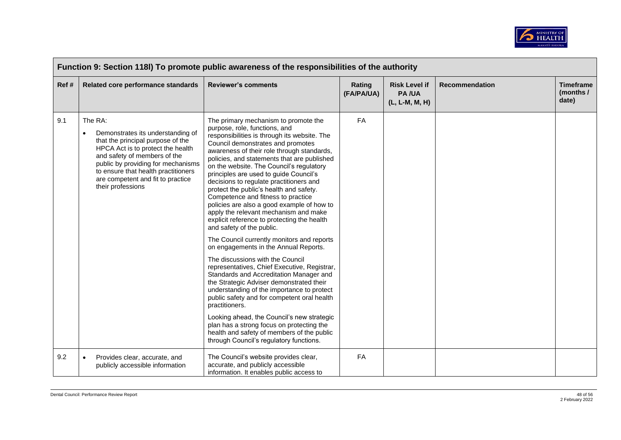

| Function 9: Section 118I) To promote public awareness of the responsibilities of the authority |                                                                                                                                                                                                                                                                                                            |                                                                                                                                                                                                                                                                                                                                                                                                                                                                                                                                                                                                                                                                                                                                                                                                                                                                                                                                                                                                                                                                                                                                                                                                                   |                      |                                                        |                       |                                        |  |
|------------------------------------------------------------------------------------------------|------------------------------------------------------------------------------------------------------------------------------------------------------------------------------------------------------------------------------------------------------------------------------------------------------------|-------------------------------------------------------------------------------------------------------------------------------------------------------------------------------------------------------------------------------------------------------------------------------------------------------------------------------------------------------------------------------------------------------------------------------------------------------------------------------------------------------------------------------------------------------------------------------------------------------------------------------------------------------------------------------------------------------------------------------------------------------------------------------------------------------------------------------------------------------------------------------------------------------------------------------------------------------------------------------------------------------------------------------------------------------------------------------------------------------------------------------------------------------------------------------------------------------------------|----------------------|--------------------------------------------------------|-----------------------|----------------------------------------|--|
| Ref#                                                                                           | Related core performance standards                                                                                                                                                                                                                                                                         | <b>Reviewer's comments</b>                                                                                                                                                                                                                                                                                                                                                                                                                                                                                                                                                                                                                                                                                                                                                                                                                                                                                                                                                                                                                                                                                                                                                                                        | Rating<br>(FA/PA/UA) | <b>Risk Level if</b><br><b>PA/UA</b><br>(L, L-M, M, H) | <b>Recommendation</b> | <b>Timeframe</b><br>(months /<br>date) |  |
| 9.1                                                                                            | The RA:<br>Demonstrates its understanding of<br>$\bullet$<br>that the principal purpose of the<br>HPCA Act is to protect the health<br>and safety of members of the<br>public by providing for mechanisms<br>to ensure that health practitioners<br>are competent and fit to practice<br>their professions | The primary mechanism to promote the<br>purpose, role, functions, and<br>responsibilities is through its website. The<br>Council demonstrates and promotes<br>awareness of their role through standards,<br>policies, and statements that are published<br>on the website. The Council's regulatory<br>principles are used to guide Council's<br>decisions to regulate practitioners and<br>protect the public's health and safety.<br>Competence and fitness to practice<br>policies are also a good example of how to<br>apply the relevant mechanism and make<br>explicit reference to protecting the health<br>and safety of the public.<br>The Council currently monitors and reports<br>on engagements in the Annual Reports.<br>The discussions with the Council<br>representatives, Chief Executive, Registrar,<br>Standards and Accreditation Manager and<br>the Strategic Adviser demonstrated their<br>understanding of the importance to protect<br>public safety and for competent oral health<br>practitioners.<br>Looking ahead, the Council's new strategic<br>plan has a strong focus on protecting the<br>health and safety of members of the public<br>through Council's regulatory functions. | FA                   |                                                        |                       |                                        |  |
| 9.2                                                                                            | Provides clear, accurate, and<br>$\bullet$<br>publicly accessible information                                                                                                                                                                                                                              | The Council's website provides clear,<br>accurate, and publicly accessible<br>information. It enables public access to                                                                                                                                                                                                                                                                                                                                                                                                                                                                                                                                                                                                                                                                                                                                                                                                                                                                                                                                                                                                                                                                                            | FA                   |                                                        |                       |                                        |  |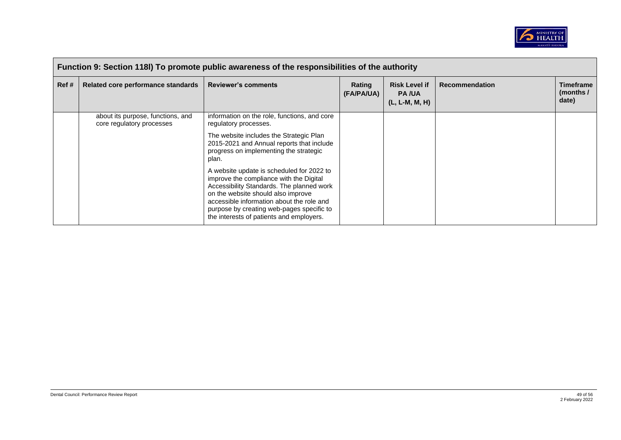

|      | Function 9: Section 118I) To promote public awareness of the responsibilities of the authority |                                                                                                                                                                                                                                                                                                               |                             |                                                        |                       |                                        |  |  |
|------|------------------------------------------------------------------------------------------------|---------------------------------------------------------------------------------------------------------------------------------------------------------------------------------------------------------------------------------------------------------------------------------------------------------------|-----------------------------|--------------------------------------------------------|-----------------------|----------------------------------------|--|--|
| Ref# | Related core performance standards                                                             | <b>Reviewer's comments</b>                                                                                                                                                                                                                                                                                    | <b>Rating</b><br>(FA/PA/UA) | <b>Risk Level if</b><br><b>PA/UA</b><br>(L, L-M, M, H) | <b>Recommendation</b> | <b>Timeframe</b><br>(months /<br>date) |  |  |
|      | about its purpose, functions, and<br>core regulatory processes                                 | information on the role, functions, and core<br>regulatory processes.                                                                                                                                                                                                                                         |                             |                                                        |                       |                                        |  |  |
|      |                                                                                                | The website includes the Strategic Plan<br>2015-2021 and Annual reports that include<br>progress on implementing the strategic<br>plan.                                                                                                                                                                       |                             |                                                        |                       |                                        |  |  |
|      |                                                                                                | A website update is scheduled for 2022 to<br>improve the compliance with the Digital<br>Accessibility Standards. The planned work<br>on the website should also improve<br>accessible information about the role and<br>purpose by creating web-pages specific to<br>the interests of patients and employers. |                             |                                                        |                       |                                        |  |  |

 $\blacksquare$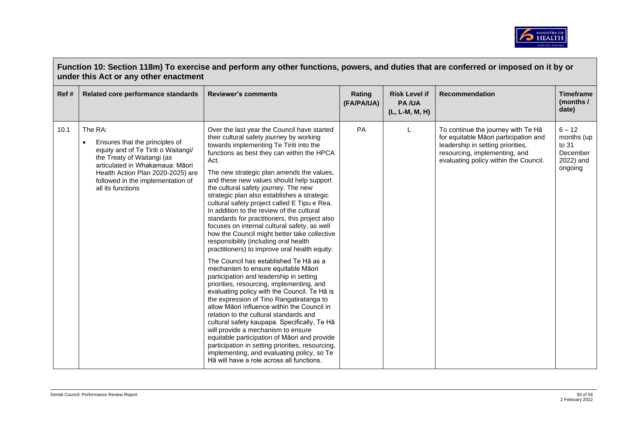

|       | Function 10: Section 118m) To exercise and perform any other functions, powers, and duties that are conferred or imposed on it by or<br>under this Act or any other enactment                                                                                 |                                                                                                                                                                                                                                                                                                                                                                                                                                                                                                                                                                                                                                                                                                                                                                                                                                                                                                                                                                                                                                                                                                                                                                                                                                                                                                                                                                      |                      |                                                        |                                                                                                                                                                                            |                                                                     |  |  |  |
|-------|---------------------------------------------------------------------------------------------------------------------------------------------------------------------------------------------------------------------------------------------------------------|----------------------------------------------------------------------------------------------------------------------------------------------------------------------------------------------------------------------------------------------------------------------------------------------------------------------------------------------------------------------------------------------------------------------------------------------------------------------------------------------------------------------------------------------------------------------------------------------------------------------------------------------------------------------------------------------------------------------------------------------------------------------------------------------------------------------------------------------------------------------------------------------------------------------------------------------------------------------------------------------------------------------------------------------------------------------------------------------------------------------------------------------------------------------------------------------------------------------------------------------------------------------------------------------------------------------------------------------------------------------|----------------------|--------------------------------------------------------|--------------------------------------------------------------------------------------------------------------------------------------------------------------------------------------------|---------------------------------------------------------------------|--|--|--|
| Ref # | Related core performance standards                                                                                                                                                                                                                            | <b>Reviewer's comments</b>                                                                                                                                                                                                                                                                                                                                                                                                                                                                                                                                                                                                                                                                                                                                                                                                                                                                                                                                                                                                                                                                                                                                                                                                                                                                                                                                           | Rating<br>(FA/PA/UA) | <b>Risk Level if</b><br><b>PA/UA</b><br>(L, L-M, M, H) | <b>Recommendation</b>                                                                                                                                                                      | <b>Timeframe</b><br>(months /<br>date)                              |  |  |  |
| 10.1  | The RA:<br>Ensures that the principles of<br>$\bullet$<br>equity and of Te Tiriti o Waitangi/<br>the Treaty of Waitangi (as<br>articulated in Whakamaua: Māori<br>Health Action Plan 2020-2025) are<br>followed in the implementation of<br>all its functions | Over the last year the Council have started<br>their cultural safety journey by working<br>towards implementing Te Tiriti into the<br>functions as best they can within the HPCA<br>Act.<br>The new strategic plan amends the values,<br>and these new values should help support<br>the cultural safety journey. The new<br>strategic plan also establishes a strategic<br>cultural safety project called E Tipu e Rea.<br>In addition to the review of the cultural<br>standards for practitioners, this project also<br>focuses on internal cultural safety, as well<br>how the Council might better take collective<br>responsibility (including oral health<br>practitioners) to improve oral health equity.<br>The Council has established Te Ha as a<br>mechanism to ensure equitable Māori<br>participation and leadership in setting<br>priorities, resourcing, implementing, and<br>evaluating policy with the Council. Te Hā is<br>the expression of Tino Rangatiratanga to<br>allow Māori influence within the Council in<br>relation to the cultural standards and<br>cultural safety kaupapa. Specifically, Te Hā<br>will provide a mechanism to ensure<br>equitable participation of Māori and provide<br>participation in setting priorities, resourcing,<br>implementing, and evaluating policy, so Te<br>Hā will have a role across all functions. | PA                   |                                                        | To continue the journey with Te Ha<br>for equitable Māori participation and<br>leadership in setting priorities,<br>resourcing, implementing, and<br>evaluating policy within the Council. | $6 - 12$<br>months (up<br>to 31<br>December<br>2022) and<br>ongoing |  |  |  |

 $\sqrt{ }$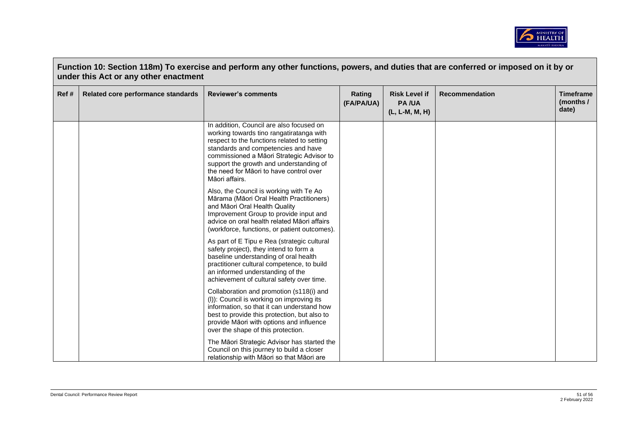

| Ref # | Related core performance standards | <b>Reviewer's comments</b>                                                                                                                                                                                                                                                                                                      | Rating     | <b>Risk Level if</b>           | <b>Recommendation</b> | <b>Timeframe</b>   |
|-------|------------------------------------|---------------------------------------------------------------------------------------------------------------------------------------------------------------------------------------------------------------------------------------------------------------------------------------------------------------------------------|------------|--------------------------------|-----------------------|--------------------|
|       |                                    |                                                                                                                                                                                                                                                                                                                                 | (FA/PA/UA) | <b>PA/UA</b><br>(L, L-M, M, H) |                       | (months /<br>date) |
|       |                                    | In addition, Council are also focused on<br>working towards tino rangatiratanga with<br>respect to the functions related to setting<br>standards and competencies and have<br>commissioned a Māori Strategic Advisor to<br>support the growth and understanding of<br>the need for Māori to have control over<br>Māori affairs. |            |                                |                       |                    |
|       |                                    | Also, the Council is working with Te Ao<br>Mārama (Māori Oral Health Practitioners)<br>and Māori Oral Health Quality<br>Improvement Group to provide input and<br>advice on oral health related Maori affairs<br>(workforce, functions, or patient outcomes).                                                                   |            |                                |                       |                    |
|       |                                    | As part of E Tipu e Rea (strategic cultural<br>safety project), they intend to form a<br>baseline understanding of oral health<br>practitioner cultural competence, to build<br>an informed understanding of the<br>achievement of cultural safety over time.                                                                   |            |                                |                       |                    |
|       |                                    | Collaboration and promotion (s118(i) and<br>(I)): Council is working on improving its<br>information, so that it can understand how<br>best to provide this protection, but also to<br>provide Māori with options and influence<br>over the shape of this protection.                                                           |            |                                |                       |                    |
|       |                                    | The Māori Strategic Advisor has started the<br>Council on this journey to build a closer<br>relationship with Māori so that Māori are                                                                                                                                                                                           |            |                                |                       |                    |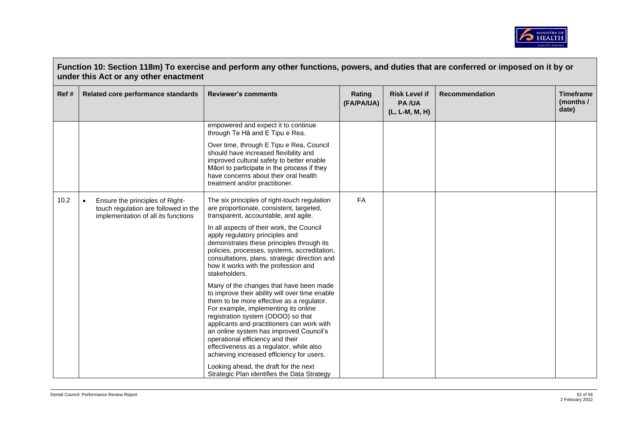

| Function 10: Section 118m) To exercise and perform any other functions, powers, and duties that are conferred or imposed on it by or<br>under this Act or any other enactment |                                                                                                                             |                                                                                                                                                                                                                                                                                                                                                                                                                                                                                                                                                                                                                                                                                                                                                                              |                      |                                                        |                |                                        |  |
|-------------------------------------------------------------------------------------------------------------------------------------------------------------------------------|-----------------------------------------------------------------------------------------------------------------------------|------------------------------------------------------------------------------------------------------------------------------------------------------------------------------------------------------------------------------------------------------------------------------------------------------------------------------------------------------------------------------------------------------------------------------------------------------------------------------------------------------------------------------------------------------------------------------------------------------------------------------------------------------------------------------------------------------------------------------------------------------------------------------|----------------------|--------------------------------------------------------|----------------|----------------------------------------|--|
| Ref#                                                                                                                                                                          | Related core performance standards                                                                                          | <b>Reviewer's comments</b>                                                                                                                                                                                                                                                                                                                                                                                                                                                                                                                                                                                                                                                                                                                                                   | Rating<br>(FA/PA/UA) | <b>Risk Level if</b><br><b>PA/UA</b><br>(L, L-M, M, H) | Recommendation | <b>Timeframe</b><br>(months /<br>date) |  |
|                                                                                                                                                                               |                                                                                                                             | empowered and expect it to continue<br>through Te Ha and E Tipu e Rea.                                                                                                                                                                                                                                                                                                                                                                                                                                                                                                                                                                                                                                                                                                       |                      |                                                        |                |                                        |  |
|                                                                                                                                                                               |                                                                                                                             | Over time, through E Tipu e Rea, Council<br>should have increased flexibility and<br>improved cultural safety to better enable<br>Māori to participate in the process if they<br>have concerns about their oral health<br>treatment and/or practitioner.                                                                                                                                                                                                                                                                                                                                                                                                                                                                                                                     |                      |                                                        |                |                                        |  |
| 10.2                                                                                                                                                                          | Ensure the principles of Right-<br>$\bullet$<br>touch regulation are followed in the<br>implementation of all its functions | The six principles of right-touch regulation<br>are proportionate, consistent, targeted,<br>transparent, accountable, and agile.<br>In all aspects of their work, the Council<br>apply regulatory principles and<br>demonstrates these principles through its<br>policies, processes, systems, accreditation,<br>consultations, plans, strategic direction and<br>how it works with the profession and<br>stakeholders.<br>Many of the changes that have been made<br>to improve their ability will over time enable<br>them to be more effective as a regulator.<br>For example, implementing its online<br>registration system (ODOO) so that<br>applicants and practitioners can work with<br>an online system has improved Council's<br>operational efficiency and their | <b>FA</b>            |                                                        |                |                                        |  |
|                                                                                                                                                                               |                                                                                                                             | effectiveness as a regulator, while also<br>achieving increased efficiency for users.<br>Looking ahead, the draft for the next<br>Strategic Plan identifies the Data Strategy                                                                                                                                                                                                                                                                                                                                                                                                                                                                                                                                                                                                |                      |                                                        |                |                                        |  |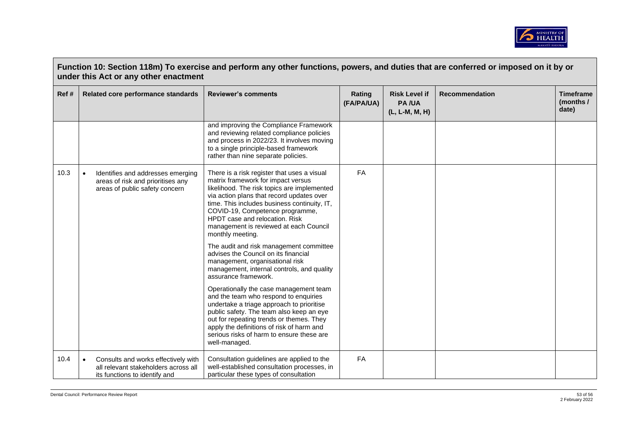

|       | Function 10: Section 118m) To exercise and perform any other functions, powers, and duties that are conferred or imposed on it by or<br>under this Act or any other enactment |                                                                                                                                                                                                                                                                                                                                                                  |                      |                                                        |                       |                                        |  |  |
|-------|-------------------------------------------------------------------------------------------------------------------------------------------------------------------------------|------------------------------------------------------------------------------------------------------------------------------------------------------------------------------------------------------------------------------------------------------------------------------------------------------------------------------------------------------------------|----------------------|--------------------------------------------------------|-----------------------|----------------------------------------|--|--|
| Ref # | Related core performance standards                                                                                                                                            | <b>Reviewer's comments</b>                                                                                                                                                                                                                                                                                                                                       | Rating<br>(FA/PA/UA) | <b>Risk Level if</b><br><b>PA/UA</b><br>(L, L-M, M, H) | <b>Recommendation</b> | <b>Timeframe</b><br>(months /<br>date) |  |  |
|       |                                                                                                                                                                               | and improving the Compliance Framework<br>and reviewing related compliance policies<br>and process in 2022/23. It involves moving<br>to a single principle-based framework<br>rather than nine separate policies.                                                                                                                                                |                      |                                                        |                       |                                        |  |  |
| 10.3  | Identifies and addresses emerging<br>$\bullet$<br>areas of risk and prioritises any<br>areas of public safety concern                                                         | There is a risk register that uses a visual<br>matrix framework for impact versus<br>likelihood. The risk topics are implemented<br>via action plans that record updates over<br>time. This includes business continuity, IT,<br>COVID-19, Competence programme,<br>HPDT case and relocation. Risk<br>management is reviewed at each Council<br>monthly meeting. | <b>FA</b>            |                                                        |                       |                                        |  |  |
|       |                                                                                                                                                                               | The audit and risk management committee<br>advises the Council on its financial<br>management, organisational risk<br>management, internal controls, and quality<br>assurance framework.                                                                                                                                                                         |                      |                                                        |                       |                                        |  |  |
|       |                                                                                                                                                                               | Operationally the case management team<br>and the team who respond to enquiries<br>undertake a triage approach to prioritise<br>public safety. The team also keep an eye<br>out for repeating trends or themes. They<br>apply the definitions of risk of harm and<br>serious risks of harm to ensure these are<br>well-managed.                                  |                      |                                                        |                       |                                        |  |  |
| 10.4  | Consults and works effectively with<br>$\bullet$<br>all relevant stakeholders across all<br>its functions to identify and                                                     | Consultation guidelines are applied to the<br>well-established consultation processes, in<br>particular these types of consultation                                                                                                                                                                                                                              | FA                   |                                                        |                       |                                        |  |  |

 $\overline{a}$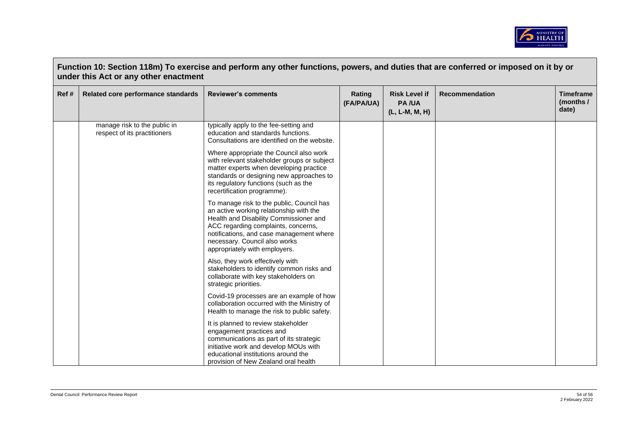

| Ref# | Related core performance standards                           | <b>Reviewer's comments</b>                                                                                                                                                                                                                                                          | Rating<br>(FA/PA/UA) | <b>Risk Level if</b><br><b>PA/UA</b><br>(L, L-M, M, H) | <b>Recommendation</b> | <b>Timeframe</b><br>(months /<br>date) |
|------|--------------------------------------------------------------|-------------------------------------------------------------------------------------------------------------------------------------------------------------------------------------------------------------------------------------------------------------------------------------|----------------------|--------------------------------------------------------|-----------------------|----------------------------------------|
|      | manage risk to the public in<br>respect of its practitioners | typically apply to the fee-setting and<br>education and standards functions.<br>Consultations are identified on the website.                                                                                                                                                        |                      |                                                        |                       |                                        |
|      |                                                              | Where appropriate the Council also work<br>with relevant stakeholder groups or subject<br>matter experts when developing practice<br>standards or designing new approaches to<br>its regulatory functions (such as the<br>recertification programme).                               |                      |                                                        |                       |                                        |
|      |                                                              | To manage risk to the public, Council has<br>an active working relationship with the<br>Health and Disability Commissioner and<br>ACC regarding complaints, concerns,<br>notifications, and case management where<br>necessary. Council also works<br>appropriately with employers. |                      |                                                        |                       |                                        |
|      |                                                              | Also, they work effectively with<br>stakeholders to identify common risks and<br>collaborate with key stakeholders on<br>strategic priorities.                                                                                                                                      |                      |                                                        |                       |                                        |
|      |                                                              | Covid-19 processes are an example of how<br>collaboration occurred with the Ministry of<br>Health to manage the risk to public safety.                                                                                                                                              |                      |                                                        |                       |                                        |
|      |                                                              | It is planned to review stakeholder<br>engagement practices and<br>communications as part of its strategic<br>initiative work and develop MOUs with<br>educational institutions around the<br>provision of New Zealand oral health                                                  |                      |                                                        |                       |                                        |

 $\sqrt{ }$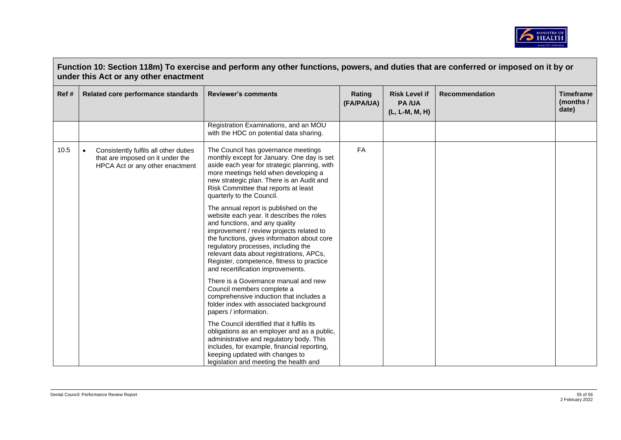

| Ref # | Related core performance standards                                                                                        | <b>Reviewer's comments</b>                                                                                                                                                                                                                                                                                                                                                           | Rating<br>(FA/PA/UA) | <b>Risk Level if</b><br><b>PA/UA</b><br>(L, L-M, M, H) | <b>Recommendation</b> | <b>Timeframe</b><br>(months /<br>date) |
|-------|---------------------------------------------------------------------------------------------------------------------------|--------------------------------------------------------------------------------------------------------------------------------------------------------------------------------------------------------------------------------------------------------------------------------------------------------------------------------------------------------------------------------------|----------------------|--------------------------------------------------------|-----------------------|----------------------------------------|
|       |                                                                                                                           | Registration Examinations, and an MOU<br>with the HDC on potential data sharing.                                                                                                                                                                                                                                                                                                     |                      |                                                        |                       |                                        |
| 10.5  | Consistently fulfils all other duties<br>$\bullet$<br>that are imposed on it under the<br>HPCA Act or any other enactment | The Council has governance meetings<br>monthly except for January. One day is set<br>aside each year for strategic planning, with<br>more meetings held when developing a<br>new strategic plan. There is an Audit and<br>Risk Committee that reports at least<br>quarterly to the Council.                                                                                          | <b>FA</b>            |                                                        |                       |                                        |
|       |                                                                                                                           | The annual report is published on the<br>website each year. It describes the roles<br>and functions, and any quality<br>improvement / review projects related to<br>the functions, gives information about core<br>regulatory processes, including the<br>relevant data about registrations, APCs,<br>Register, competence, fitness to practice<br>and recertification improvements. |                      |                                                        |                       |                                        |
|       |                                                                                                                           | There is a Governance manual and new<br>Council members complete a<br>comprehensive induction that includes a<br>folder index with associated background<br>papers / information.                                                                                                                                                                                                    |                      |                                                        |                       |                                        |
|       |                                                                                                                           | The Council identified that it fulfils its<br>obligations as an employer and as a public,<br>administrative and regulatory body. This<br>includes, for example, financial reporting,<br>keeping updated with changes to<br>legislation and meeting the health and                                                                                                                    |                      |                                                        |                       |                                        |